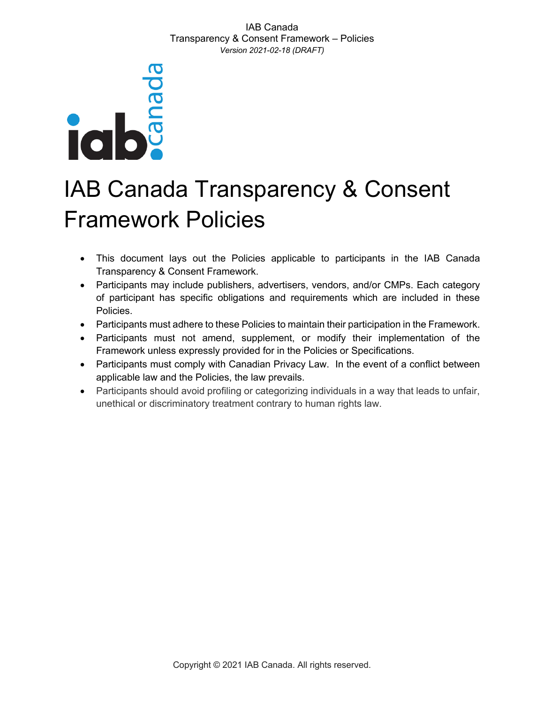

# IAB Canada Transparency & Consent Framework Policies

- This document lays out the Policies applicable to participants in the IAB Canada Transparency & Consent Framework.
- Participants may include publishers, advertisers, vendors, and/or CMPs. Each category of participant has specific obligations and requirements which are included in these Policies.
- Participants must adhere to these Policies to maintain their participation in the Framework.
- Participants must not amend, supplement, or modify their implementation of the Framework unless expressly provided for in the Policies or Specifications.
- Participants must comply with Canadian Privacy Law. In the event of a conflict between applicable law and the Policies, the law prevails.
- Participants should avoid profiling or categorizing individuals in a way that leads to unfair, unethical or discriminatory treatment contrary to human rights law.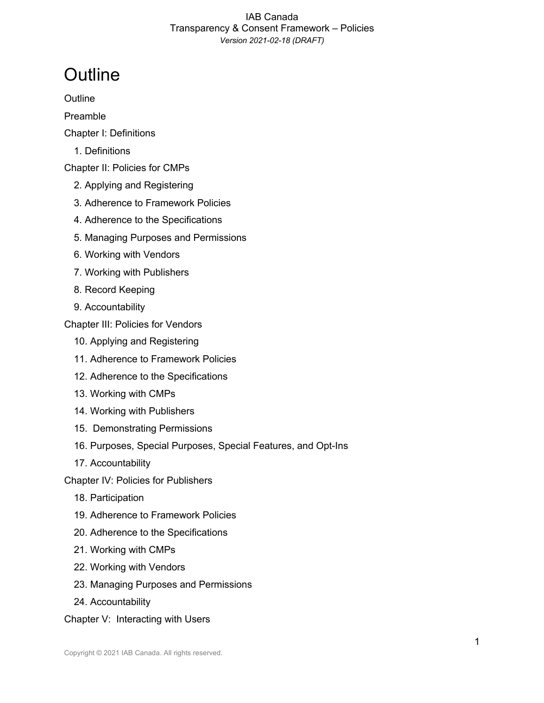# **Outline**

**Outline** 

Preamble

- Chapter I: Definitions
	- 1. Definitions

Chapter II: Policies for CMPs

- 2. Applying and Registering
- 3. Adherence to Framework Policies
- 4. Adherence to the Specifications
- 5. Managing Purposes and Permissions
- 6. Working with Vendors
- 7. Working with Publishers
- 8. Record Keeping
- 9. Accountability

Chapter III: Policies for Vendors

- 10. Applying and Registering
- 11. Adherence to Framework Policies
- 12. Adherence to the Specifications
- 13. Working with CMPs
- 14. Working with Publishers
- 15. Demonstrating Permissions
- 16. Purposes, Special Purposes, Special Features, and Opt-Ins
- 17. Accountability

Chapter IV: Policies for Publishers

- 18. Participation
- 19. Adherence to Framework Policies
- 20. Adherence to the Specifications
- 21. Working with CMPs
- 22. Working with Vendors
- 23. Managing Purposes and Permissions
- 24. Accountability

Chapter V: Interacting with Users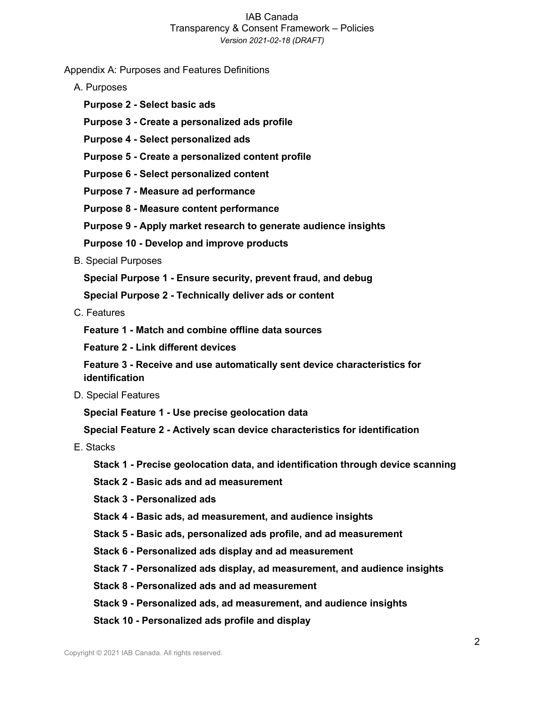Appendix A: Purposes and Features Definitions

- A. Purposes
	- **Purpose 2 - Select basic ads**
	- **Purpose 3 - Create a personalized ads profile**
	- **Purpose 4 - Select personalized ads**
	- **Purpose 5 - Create a personalized content profile**
	- **Purpose 6 - Select personalized content**
	- **Purpose 7 - Measure ad performance**
	- **Purpose 8 - Measure content performance**
	- **Purpose 9 - Apply market research to generate audience insights**
	- **Purpose 10 - Develop and improve products**
- B. Special Purposes

**Special Purpose 1 - Ensure security, prevent fraud, and debug**

**Special Purpose 2 - Technically deliver ads or content**

C. Features

**Feature 1 - Match and combine offline data sources**

**Feature 2 - Link different devices**

**Feature 3 - Receive and use automatically sent device characteristics for identification**

D. Special Features

**Special Feature 1 - Use precise geolocation data**

**Special Feature 2 - Actively scan device characteristics for identification**

- E. Stacks
	- **Stack 1 - Precise geolocation data, and identification through device scanning**
	- **Stack 2 - Basic ads and ad measurement**
	- **Stack 3 - Personalized ads**
	- **Stack 4 - Basic ads, ad measurement, and audience insights**
	- **Stack 5 - Basic ads, personalized ads profile, and ad measurement**
	- **Stack 6 - Personalized ads display and ad measurement**
	- **Stack 7 - Personalized ads display, ad measurement, and audience insights**
	- **Stack 8 - Personalized ads and ad measurement**
	- **Stack 9 - Personalized ads, ad measurement, and audience insights**
	- **Stack 10 - Personalized ads profile and display**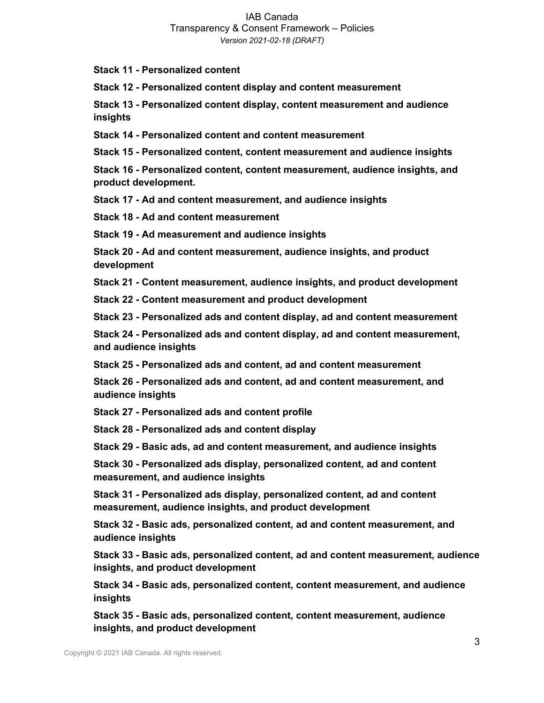**Stack 11 - Personalized content**

**Stack 12 - Personalized content display and content measurement**

**Stack 13 - Personalized content display, content measurement and audience insights**

**Stack 14 - Personalized content and content measurement**

**Stack 15 - Personalized content, content measurement and audience insights**

**Stack 16 - Personalized content, content measurement, audience insights, and product development.**

**Stack 17 - Ad and content measurement, and audience insights**

**Stack 18 - Ad and content measurement**

**Stack 19 - Ad measurement and audience insights**

**Stack 20 - Ad and content measurement, audience insights, and product development**

**Stack 21 - Content measurement, audience insights, and product development**

**Stack 22 - Content measurement and product development**

**Stack 23 - Personalized ads and content display, ad and content measurement**

**Stack 24 - Personalized ads and content display, ad and content measurement, and audience insights**

**Stack 25 - Personalized ads and content, ad and content measurement**

**Stack 26 - Personalized ads and content, ad and content measurement, and audience insights**

**Stack 27 - Personalized ads and content profile**

**Stack 28 - Personalized ads and content display**

**Stack 29 - Basic ads, ad and content measurement, and audience insights**

**Stack 30 - Personalized ads display, personalized content, ad and content measurement, and audience insights**

**Stack 31 - Personalized ads display, personalized content, ad and content measurement, audience insights, and product development**

**Stack 32 - Basic ads, personalized content, ad and content measurement, and audience insights**

**Stack 33 - Basic ads, personalized content, ad and content measurement, audience insights, and product development**

**Stack 34 - Basic ads, personalized content, content measurement, and audience insights**

**Stack 35 - Basic ads, personalized content, content measurement, audience insights, and product development**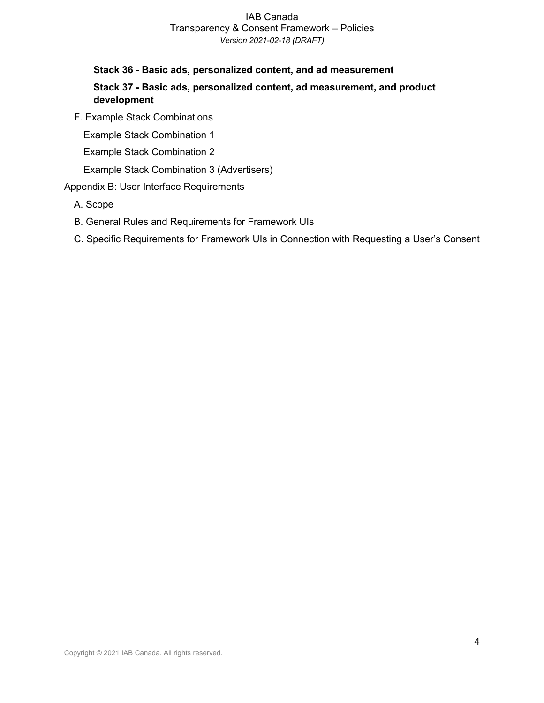### **Stack 36 - Basic ads, personalized content, and ad measurement Stack 37 - Basic ads, personalized content, ad measurement, and product development**

F. Example Stack Combinations

Example Stack Combination 1

Example Stack Combination 2

Example Stack Combination 3 (Advertisers)

#### Appendix B: User Interface Requirements

- A. Scope
- B. General Rules and Requirements for Framework UIs
- C. Specific Requirements for Framework UIs in Connection with Requesting a User's Consent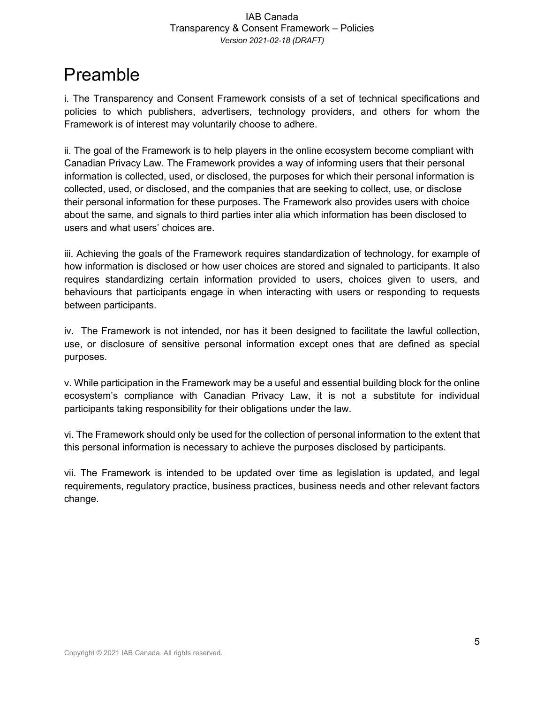# Preamble

i. The Transparency and Consent Framework consists of a set of technical specifications and policies to which publishers, advertisers, technology providers, and others for whom the Framework is of interest may voluntarily choose to adhere.

ii. The goal of the Framework is to help players in the online ecosystem become compliant with Canadian Privacy Law. The Framework provides a way of informing users that their personal information is collected, used, or disclosed, the purposes for which their personal information is collected, used, or disclosed, and the companies that are seeking to collect, use, or disclose their personal information for these purposes. The Framework also provides users with choice about the same, and signals to third parties inter alia which information has been disclosed to users and what users' choices are.

iii. Achieving the goals of the Framework requires standardization of technology, for example of how information is disclosed or how user choices are stored and signaled to participants. It also requires standardizing certain information provided to users, choices given to users, and behaviours that participants engage in when interacting with users or responding to requests between participants.

iv. The Framework is not intended, nor has it been designed to facilitate the lawful collection, use, or disclosure of sensitive personal information except ones that are defined as special purposes.

v. While participation in the Framework may be a useful and essential building block for the online ecosystem's compliance with Canadian Privacy Law, it is not a substitute for individual participants taking responsibility for their obligations under the law.

vi. The Framework should only be used for the collection of personal information to the extent that this personal information is necessary to achieve the purposes disclosed by participants.

vii. The Framework is intended to be updated over time as legislation is updated, and legal requirements, regulatory practice, business practices, business needs and other relevant factors change.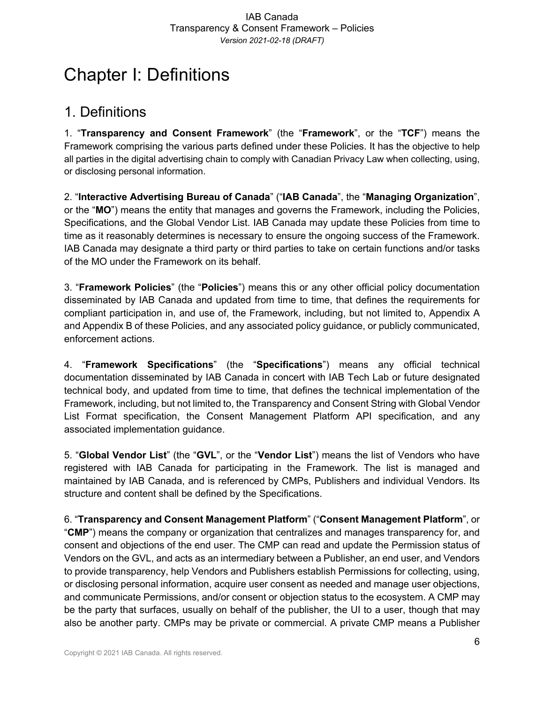# Chapter I: Definitions

### 1. Definitions

1. "**Transparency and Consent Framework**" (the "**Framework**", or the "**TCF**") means the Framework comprising the various parts defined under these Policies. It has the objective to help all parties in the digital advertising chain to comply with Canadian Privacy Law when collecting, using, or disclosing personal information.

2. "**Interactive Advertising Bureau of Canada**" ("**IAB Canada**", the "**Managing Organization**", or the "**MO**") means the entity that manages and governs the Framework, including the Policies, Specifications, and the Global Vendor List. IAB Canada may update these Policies from time to time as it reasonably determines is necessary to ensure the ongoing success of the Framework. IAB Canada may designate a third party or third parties to take on certain functions and/or tasks of the MO under the Framework on its behalf.

3. "**Framework Policies**" (the "**Policies**") means this or any other official policy documentation disseminated by IAB Canada and updated from time to time, that defines the requirements for compliant participation in, and use of, the Framework, including, but not limited to, Appendix A and Appendix B of these Policies, and any associated policy guidance, or publicly communicated, enforcement actions.

4. "**Framework Specifications**" (the "**Specifications**") means any official technical documentation disseminated by IAB Canada in concert with IAB Tech Lab or future designated technical body, and updated from time to time, that defines the technical implementation of the Framework, including, but not limited to, the Transparency and Consent String with Global Vendor List Format specification, the Consent Management Platform API specification, and any associated implementation guidance.

5. "**Global Vendor List**" (the "**GVL**", or the "**Vendor List**") means the list of Vendors who have registered with IAB Canada for participating in the Framework. The list is managed and maintained by IAB Canada, and is referenced by CMPs, Publishers and individual Vendors. Its structure and content shall be defined by the Specifications.

6. "**Transparency and Consent Management Platform**" ("**Consent Management Platform**", or "**CMP**") means the company or organization that centralizes and manages transparency for, and consent and objections of the end user. The CMP can read and update the Permission status of Vendors on the GVL, and acts as an intermediary between a Publisher, an end user, and Vendors to provide transparency, help Vendors and Publishers establish Permissions for collecting, using, or disclosing personal information, acquire user consent as needed and manage user objections, and communicate Permissions, and/or consent or objection status to the ecosystem. A CMP may be the party that surfaces, usually on behalf of the publisher, the UI to a user, though that may also be another party. CMPs may be private or commercial. A private CMP means a Publisher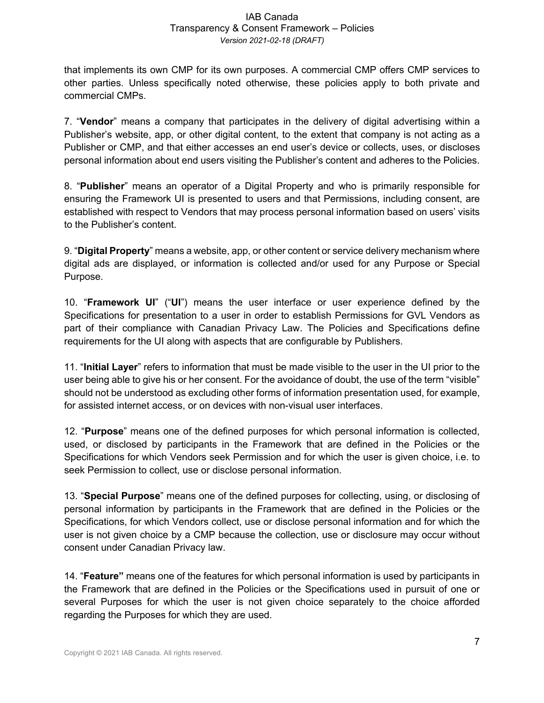that implements its own CMP for its own purposes. A commercial CMP offers CMP services to other parties. Unless specifically noted otherwise, these policies apply to both private and commercial CMPs.

7. "**Vendor**" means a company that participates in the delivery of digital advertising within a Publisher's website, app, or other digital content, to the extent that company is not acting as a Publisher or CMP, and that either accesses an end user's device or collects, uses, or discloses personal information about end users visiting the Publisher's content and adheres to the Policies.

8. "**Publisher**" means an operator of a Digital Property and who is primarily responsible for ensuring the Framework UI is presented to users and that Permissions, including consent, are established with respect to Vendors that may process personal information based on users' visits to the Publisher's content.

9. "**Digital Property**" means a website, app, or other content or service delivery mechanism where digital ads are displayed, or information is collected and/or used for any Purpose or Special Purpose.

10. "**Framework UI**" ("**UI**") means the user interface or user experience defined by the Specifications for presentation to a user in order to establish Permissions for GVL Vendors as part of their compliance with Canadian Privacy Law. The Policies and Specifications define requirements for the UI along with aspects that are configurable by Publishers.

11. "**Initial Layer**" refers to information that must be made visible to the user in the UI prior to the user being able to give his or her consent. For the avoidance of doubt, the use of the term "visible" should not be understood as excluding other forms of information presentation used, for example, for assisted internet access, or on devices with non-visual user interfaces.

12. "**Purpose**" means one of the defined purposes for which personal information is collected, used, or disclosed by participants in the Framework that are defined in the Policies or the Specifications for which Vendors seek Permission and for which the user is given choice, i.e. to seek Permission to collect, use or disclose personal information.

13. "**Special Purpose**" means one of the defined purposes for collecting, using, or disclosing of personal information by participants in the Framework that are defined in the Policies or the Specifications, for which Vendors collect, use or disclose personal information and for which the user is not given choice by a CMP because the collection, use or disclosure may occur without consent under Canadian Privacy law.

14. "**Feature"** means one of the features for which personal information is used by participants in the Framework that are defined in the Policies or the Specifications used in pursuit of one or several Purposes for which the user is not given choice separately to the choice afforded regarding the Purposes for which they are used.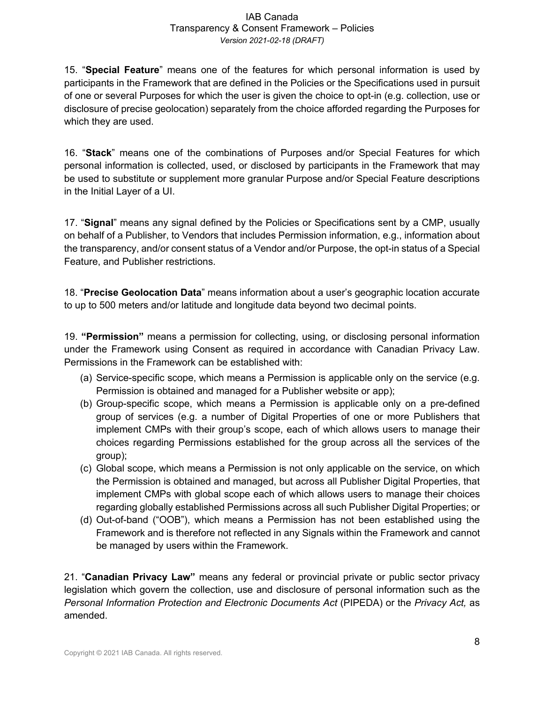15. "**Special Feature**" means one of the features for which personal information is used by participants in the Framework that are defined in the Policies or the Specifications used in pursuit of one or several Purposes for which the user is given the choice to opt-in (e.g. collection, use or disclosure of precise geolocation) separately from the choice afforded regarding the Purposes for which they are used.

16. "**Stack**" means one of the combinations of Purposes and/or Special Features for which personal information is collected, used, or disclosed by participants in the Framework that may be used to substitute or supplement more granular Purpose and/or Special Feature descriptions in the Initial Layer of a UI.

17. "**Signal**" means any signal defined by the Policies or Specifications sent by a CMP, usually on behalf of a Publisher, to Vendors that includes Permission information, e.g., information about the transparency, and/or consent status of a Vendor and/or Purpose, the opt-in status of a Special Feature, and Publisher restrictions.

18. "**Precise Geolocation Data**" means information about a user's geographic location accurate to up to 500 meters and/or latitude and longitude data beyond two decimal points.

19. **"Permission"** means a permission for collecting, using, or disclosing personal information under the Framework using Consent as required in accordance with Canadian Privacy Law. Permissions in the Framework can be established with:

- (a) Service-specific scope, which means a Permission is applicable only on the service (e.g. Permission is obtained and managed for a Publisher website or app);
- (b) Group-specific scope, which means a Permission is applicable only on a pre-defined group of services (e.g. a number of Digital Properties of one or more Publishers that implement CMPs with their group's scope, each of which allows users to manage their choices regarding Permissions established for the group across all the services of the group);
- (c) Global scope, which means a Permission is not only applicable on the service, on which the Permission is obtained and managed, but across all Publisher Digital Properties, that implement CMPs with global scope each of which allows users to manage their choices regarding globally established Permissions across all such Publisher Digital Properties; or
- (d) Out-of-band ("OOB"), which means a Permission has not been established using the Framework and is therefore not reflected in any Signals within the Framework and cannot be managed by users within the Framework.

21. "**Canadian Privacy Law"** means any federal or provincial private or public sector privacy legislation which govern the collection, use and disclosure of personal information such as the *Personal Information Protection and Electronic Documents Act* (PIPEDA) or the *Privacy Act,* as amended.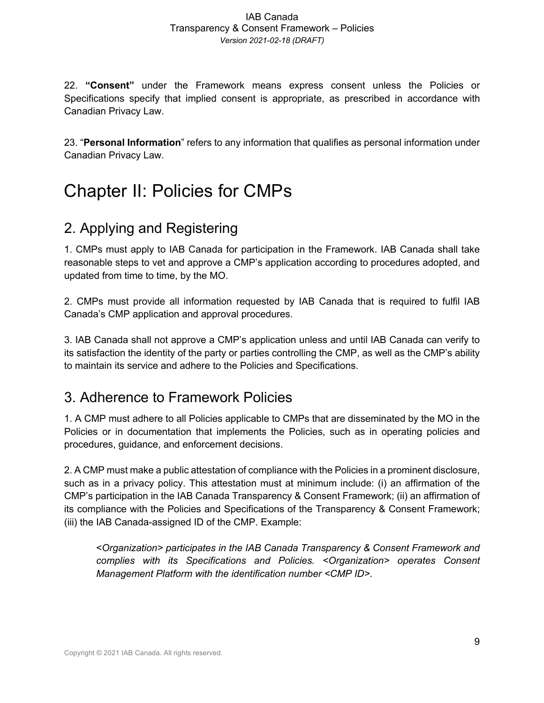22. **"Consent"** under the Framework means express consent unless the Policies or Specifications specify that implied consent is appropriate, as prescribed in accordance with Canadian Privacy Law.

23. "**Personal Information**" refers to any information that qualifies as personal information under Canadian Privacy Law.

# Chapter II: Policies for CMPs

## 2. Applying and Registering

1. CMPs must apply to IAB Canada for participation in the Framework. IAB Canada shall take reasonable steps to vet and approve a CMP's application according to procedures adopted, and updated from time to time, by the MO.

2. CMPs must provide all information requested by IAB Canada that is required to fulfil IAB Canada's CMP application and approval procedures.

3. IAB Canada shall not approve a CMP's application unless and until IAB Canada can verify to its satisfaction the identity of the party or parties controlling the CMP, as well as the CMP's ability to maintain its service and adhere to the Policies and Specifications.

### 3. Adherence to Framework Policies

1. A CMP must adhere to all Policies applicable to CMPs that are disseminated by the MO in the Policies or in documentation that implements the Policies, such as in operating policies and procedures, guidance, and enforcement decisions.

2. A CMP must make a public attestation of compliance with the Policies in a prominent disclosure, such as in a privacy policy. This attestation must at minimum include: (i) an affirmation of the CMP's participation in the IAB Canada Transparency & Consent Framework; (ii) an affirmation of its compliance with the Policies and Specifications of the Transparency & Consent Framework; (iii) the IAB Canada-assigned ID of the CMP. Example:

<*Organization> participates in the IAB Canada Transparency & Consent Framework and complies with its Specifications and Policies. <Organization> operates Consent Management Platform with the identification number <CMP ID>.*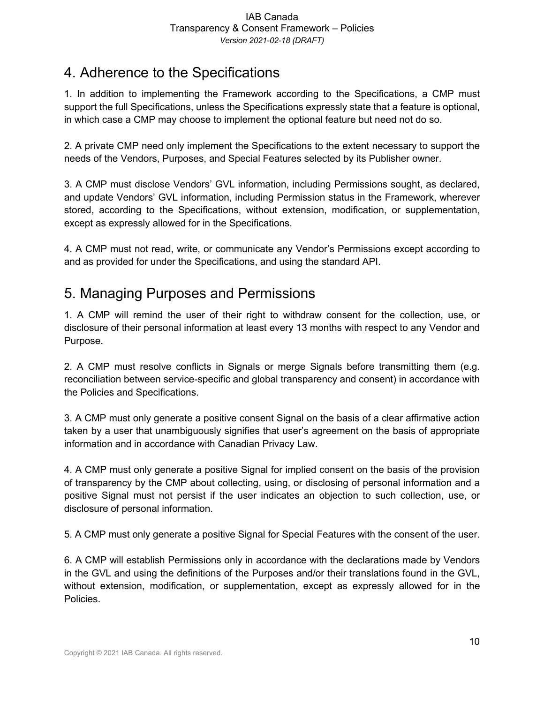# 4. Adherence to the Specifications

1. In addition to implementing the Framework according to the Specifications, a CMP must support the full Specifications, unless the Specifications expressly state that a feature is optional, in which case a CMP may choose to implement the optional feature but need not do so.

2. A private CMP need only implement the Specifications to the extent necessary to support the needs of the Vendors, Purposes, and Special Features selected by its Publisher owner.

3. A CMP must disclose Vendors' GVL information, including Permissions sought, as declared, and update Vendors' GVL information, including Permission status in the Framework, wherever stored, according to the Specifications, without extension, modification, or supplementation, except as expressly allowed for in the Specifications.

4. A CMP must not read, write, or communicate any Vendor's Permissions except according to and as provided for under the Specifications, and using the standard API.

## 5. Managing Purposes and Permissions

1. A CMP will remind the user of their right to withdraw consent for the collection, use, or disclosure of their personal information at least every 13 months with respect to any Vendor and Purpose.

2. A CMP must resolve conflicts in Signals or merge Signals before transmitting them (e.g. reconciliation between service-specific and global transparency and consent) in accordance with the Policies and Specifications.

3. A CMP must only generate a positive consent Signal on the basis of a clear affirmative action taken by a user that unambiguously signifies that user's agreement on the basis of appropriate information and in accordance with Canadian Privacy Law.

4. A CMP must only generate a positive Signal for implied consent on the basis of the provision of transparency by the CMP about collecting, using, or disclosing of personal information and a positive Signal must not persist if the user indicates an objection to such collection, use, or disclosure of personal information.

5. A CMP must only generate a positive Signal for Special Features with the consent of the user.

6. A CMP will establish Permissions only in accordance with the declarations made by Vendors in the GVL and using the definitions of the Purposes and/or their translations found in the GVL, without extension, modification, or supplementation, except as expressly allowed for in the Policies.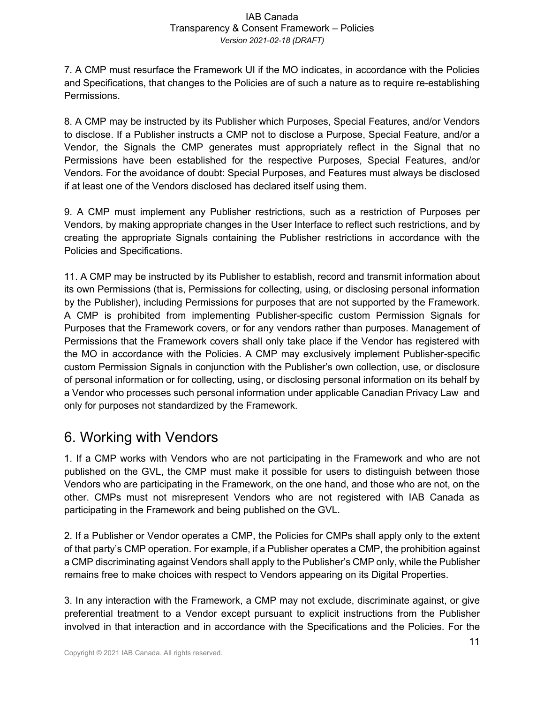7. A CMP must resurface the Framework UI if the MO indicates, in accordance with the Policies and Specifications, that changes to the Policies are of such a nature as to require re-establishing Permissions.

8. A CMP may be instructed by its Publisher which Purposes, Special Features, and/or Vendors to disclose. If a Publisher instructs a CMP not to disclose a Purpose, Special Feature, and/or a Vendor, the Signals the CMP generates must appropriately reflect in the Signal that no Permissions have been established for the respective Purposes, Special Features, and/or Vendors. For the avoidance of doubt: Special Purposes, and Features must always be disclosed if at least one of the Vendors disclosed has declared itself using them.

9. A CMP must implement any Publisher restrictions, such as a restriction of Purposes per Vendors, by making appropriate changes in the User Interface to reflect such restrictions, and by creating the appropriate Signals containing the Publisher restrictions in accordance with the Policies and Specifications.

11. A CMP may be instructed by its Publisher to establish, record and transmit information about its own Permissions (that is, Permissions for collecting, using, or disclosing personal information by the Publisher), including Permissions for purposes that are not supported by the Framework. A CMP is prohibited from implementing Publisher-specific custom Permission Signals for Purposes that the Framework covers, or for any vendors rather than purposes. Management of Permissions that the Framework covers shall only take place if the Vendor has registered with the MO in accordance with the Policies. A CMP may exclusively implement Publisher-specific custom Permission Signals in conjunction with the Publisher's own collection, use, or disclosure of personal information or for collecting, using, or disclosing personal information on its behalf by a Vendor who processes such personal information under applicable Canadian Privacy Law and only for purposes not standardized by the Framework.

# 6. Working with Vendors

1. If a CMP works with Vendors who are not participating in the Framework and who are not published on the GVL, the CMP must make it possible for users to distinguish between those Vendors who are participating in the Framework, on the one hand, and those who are not, on the other. CMPs must not misrepresent Vendors who are not registered with IAB Canada as participating in the Framework and being published on the GVL.

2. If a Publisher or Vendor operates a CMP, the Policies for CMPs shall apply only to the extent of that party's CMP operation. For example, if a Publisher operates a CMP, the prohibition against a CMP discriminating against Vendors shall apply to the Publisher's CMP only, while the Publisher remains free to make choices with respect to Vendors appearing on its Digital Properties.

3. In any interaction with the Framework, a CMP may not exclude, discriminate against, or give preferential treatment to a Vendor except pursuant to explicit instructions from the Publisher involved in that interaction and in accordance with the Specifications and the Policies. For the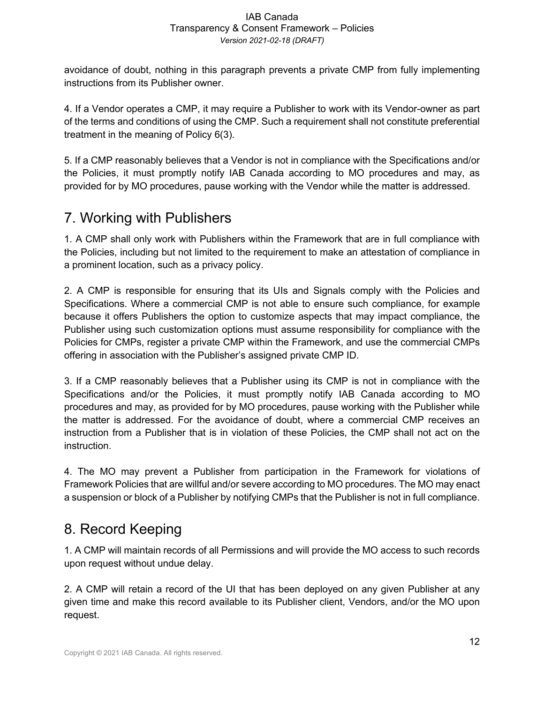avoidance of doubt, nothing in this paragraph prevents a private CMP from fully implementing instructions from its Publisher owner.

4. If a Vendor operates a CMP, it may require a Publisher to work with its Vendor-owner as part of the terms and conditions of using the CMP. Such a requirement shall not constitute preferential treatment in the meaning of Policy 6(3).

5. If a CMP reasonably believes that a Vendor is not in compliance with the Specifications and/or the Policies, it must promptly notify IAB Canada according to MO procedures and may, as provided for by MO procedures, pause working with the Vendor while the matter is addressed.

## 7. Working with Publishers

1. A CMP shall only work with Publishers within the Framework that are in full compliance with the Policies, including but not limited to the requirement to make an attestation of compliance in a prominent location, such as a privacy policy.

2. A CMP is responsible for ensuring that its UIs and Signals comply with the Policies and Specifications. Where a commercial CMP is not able to ensure such compliance, for example because it offers Publishers the option to customize aspects that may impact compliance, the Publisher using such customization options must assume responsibility for compliance with the Policies for CMPs, register a private CMP within the Framework, and use the commercial CMPs offering in association with the Publisher's assigned private CMP ID.

3. If a CMP reasonably believes that a Publisher using its CMP is not in compliance with the Specifications and/or the Policies, it must promptly notify IAB Canada according to MO procedures and may, as provided for by MO procedures, pause working with the Publisher while the matter is addressed. For the avoidance of doubt, where a commercial CMP receives an instruction from a Publisher that is in violation of these Policies, the CMP shall not act on the instruction.

4. The MO may prevent a Publisher from participation in the Framework for violations of Framework Policies that are willful and/or severe according to MO procedures. The MO may enact a suspension or block of a Publisher by notifying CMPs that the Publisher is not in full compliance.

## 8. Record Keeping

1. A CMP will maintain records of all Permissions and will provide the MO access to such records upon request without undue delay.

2. A CMP will retain a record of the UI that has been deployed on any given Publisher at any given time and make this record available to its Publisher client, Vendors, and/or the MO upon request.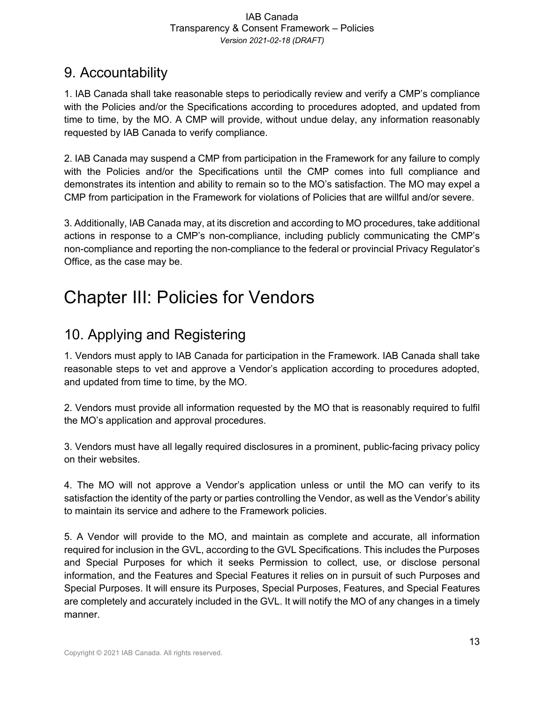## 9. Accountability

1. IAB Canada shall take reasonable steps to periodically review and verify a CMP's compliance with the Policies and/or the Specifications according to procedures adopted, and updated from time to time, by the MO. A CMP will provide, without undue delay, any information reasonably requested by IAB Canada to verify compliance.

2. IAB Canada may suspend a CMP from participation in the Framework for any failure to comply with the Policies and/or the Specifications until the CMP comes into full compliance and demonstrates its intention and ability to remain so to the MO's satisfaction. The MO may expel a CMP from participation in the Framework for violations of Policies that are willful and/or severe.

3. Additionally, IAB Canada may, at its discretion and according to MO procedures, take additional actions in response to a CMP's non-compliance, including publicly communicating the CMP's non-compliance and reporting the non-compliance to the federal or provincial Privacy Regulator's Office, as the case may be.

# Chapter III: Policies for Vendors

# 10. Applying and Registering

1. Vendors must apply to IAB Canada for participation in the Framework. IAB Canada shall take reasonable steps to vet and approve a Vendor's application according to procedures adopted, and updated from time to time, by the MO.

2. Vendors must provide all information requested by the MO that is reasonably required to fulfil the MO's application and approval procedures.

3. Vendors must have all legally required disclosures in a prominent, public-facing privacy policy on their websites.

4. The MO will not approve a Vendor's application unless or until the MO can verify to its satisfaction the identity of the party or parties controlling the Vendor, as well as the Vendor's ability to maintain its service and adhere to the Framework policies.

5. A Vendor will provide to the MO, and maintain as complete and accurate, all information required for inclusion in the GVL, according to the GVL Specifications. This includes the Purposes and Special Purposes for which it seeks Permission to collect, use, or disclose personal information, and the Features and Special Features it relies on in pursuit of such Purposes and Special Purposes. It will ensure its Purposes, Special Purposes, Features, and Special Features are completely and accurately included in the GVL. It will notify the MO of any changes in a timely manner.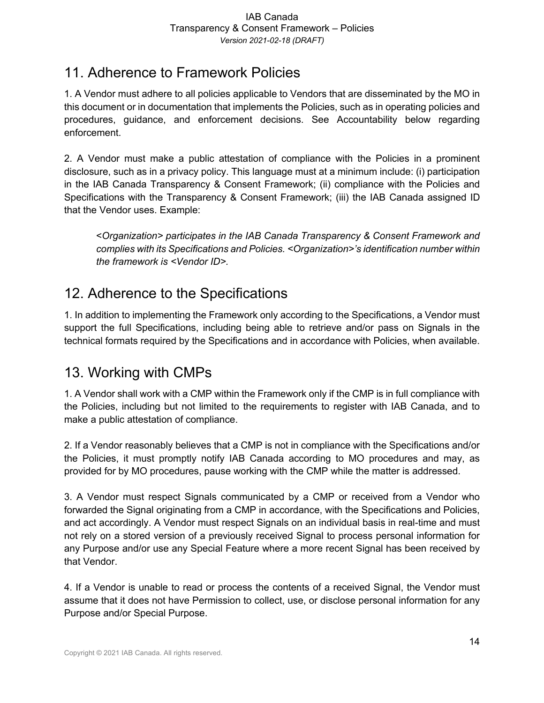## 11. Adherence to Framework Policies

1. A Vendor must adhere to all policies applicable to Vendors that are disseminated by the MO in this document or in documentation that implements the Policies, such as in operating policies and procedures, guidance, and enforcement decisions. See Accountability below regarding enforcement.

2. A Vendor must make a public attestation of compliance with the Policies in a prominent disclosure, such as in a privacy policy. This language must at a minimum include: (i) participation in the IAB Canada Transparency & Consent Framework; (ii) compliance with the Policies and Specifications with the Transparency & Consent Framework; (iii) the IAB Canada assigned ID that the Vendor uses. Example:

<*Organization> participates in the IAB Canada Transparency & Consent Framework and complies with its Specifications and Policies. <Organization>'s identification number within the framework is <Vendor ID>.*

# 12. Adherence to the Specifications

1. In addition to implementing the Framework only according to the Specifications, a Vendor must support the full Specifications, including being able to retrieve and/or pass on Signals in the technical formats required by the Specifications and in accordance with Policies, when available.

# 13. Working with CMPs

1. A Vendor shall work with a CMP within the Framework only if the CMP is in full compliance with the Policies, including but not limited to the requirements to register with IAB Canada, and to make a public attestation of compliance.

2. If a Vendor reasonably believes that a CMP is not in compliance with the Specifications and/or the Policies, it must promptly notify IAB Canada according to MO procedures and may, as provided for by MO procedures, pause working with the CMP while the matter is addressed.

3. A Vendor must respect Signals communicated by a CMP or received from a Vendor who forwarded the Signal originating from a CMP in accordance, with the Specifications and Policies, and act accordingly. A Vendor must respect Signals on an individual basis in real-time and must not rely on a stored version of a previously received Signal to process personal information for any Purpose and/or use any Special Feature where a more recent Signal has been received by that Vendor.

4. If a Vendor is unable to read or process the contents of a received Signal, the Vendor must assume that it does not have Permission to collect, use, or disclose personal information for any Purpose and/or Special Purpose.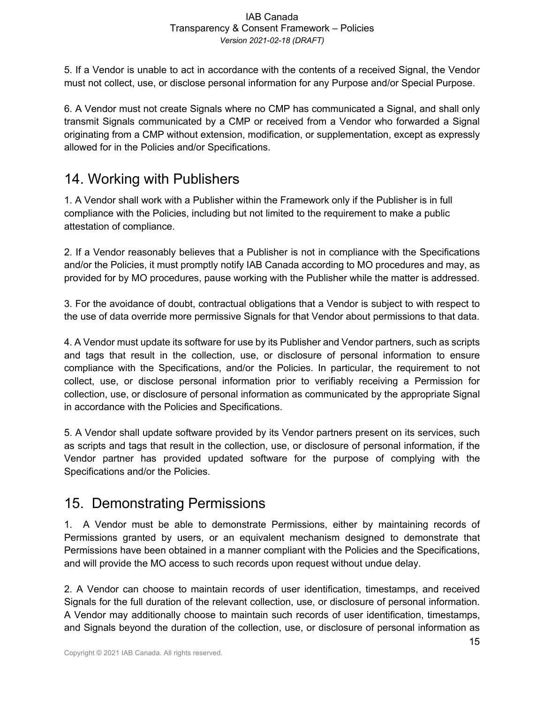5. If a Vendor is unable to act in accordance with the contents of a received Signal, the Vendor must not collect, use, or disclose personal information for any Purpose and/or Special Purpose.

6. A Vendor must not create Signals where no CMP has communicated a Signal, and shall only transmit Signals communicated by a CMP or received from a Vendor who forwarded a Signal originating from a CMP without extension, modification, or supplementation, except as expressly allowed for in the Policies and/or Specifications.

## 14. Working with Publishers

1. A Vendor shall work with a Publisher within the Framework only if the Publisher is in full compliance with the Policies, including but not limited to the requirement to make a public attestation of compliance.

2. If a Vendor reasonably believes that a Publisher is not in compliance with the Specifications and/or the Policies, it must promptly notify IAB Canada according to MO procedures and may, as provided for by MO procedures, pause working with the Publisher while the matter is addressed.

3. For the avoidance of doubt, contractual obligations that a Vendor is subject to with respect to the use of data override more permissive Signals for that Vendor about permissions to that data.

4. A Vendor must update its software for use by its Publisher and Vendor partners, such as scripts and tags that result in the collection, use, or disclosure of personal information to ensure compliance with the Specifications, and/or the Policies. In particular, the requirement to not collect, use, or disclose personal information prior to verifiably receiving a Permission for collection, use, or disclosure of personal information as communicated by the appropriate Signal in accordance with the Policies and Specifications.

5. A Vendor shall update software provided by its Vendor partners present on its services, such as scripts and tags that result in the collection, use, or disclosure of personal information, if the Vendor partner has provided updated software for the purpose of complying with the Specifications and/or the Policies.

## 15. Demonstrating Permissions

1. A Vendor must be able to demonstrate Permissions, either by maintaining records of Permissions granted by users, or an equivalent mechanism designed to demonstrate that Permissions have been obtained in a manner compliant with the Policies and the Specifications, and will provide the MO access to such records upon request without undue delay.

2. A Vendor can choose to maintain records of user identification, timestamps, and received Signals for the full duration of the relevant collection, use, or disclosure of personal information. A Vendor may additionally choose to maintain such records of user identification, timestamps, and Signals beyond the duration of the collection, use, or disclosure of personal information as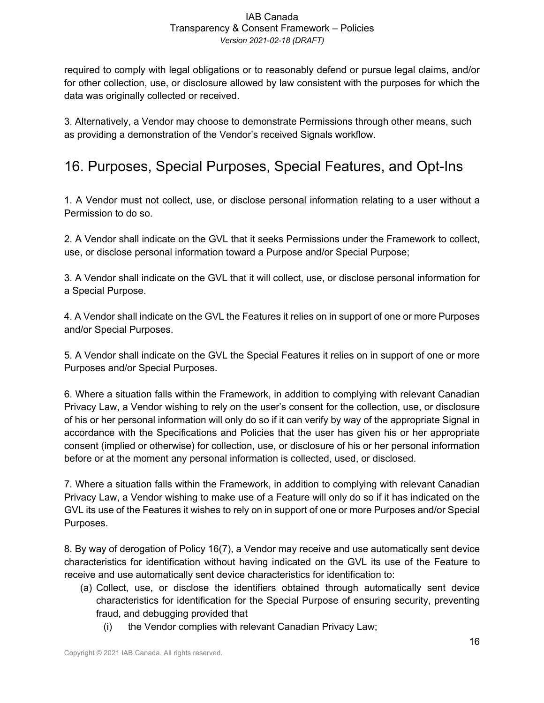required to comply with legal obligations or to reasonably defend or pursue legal claims, and/or for other collection, use, or disclosure allowed by law consistent with the purposes for which the data was originally collected or received.

3. Alternatively, a Vendor may choose to demonstrate Permissions through other means, such as providing a demonstration of the Vendor's received Signals workflow.

# 16. Purposes, Special Purposes, Special Features, and Opt-Ins

1. A Vendor must not collect, use, or disclose personal information relating to a user without a Permission to do so.

2. A Vendor shall indicate on the GVL that it seeks Permissions under the Framework to collect, use, or disclose personal information toward a Purpose and/or Special Purpose;

3. A Vendor shall indicate on the GVL that it will collect, use, or disclose personal information for a Special Purpose.

4. A Vendor shall indicate on the GVL the Features it relies on in support of one or more Purposes and/or Special Purposes.

5. A Vendor shall indicate on the GVL the Special Features it relies on in support of one or more Purposes and/or Special Purposes.

6. Where a situation falls within the Framework, in addition to complying with relevant Canadian Privacy Law, a Vendor wishing to rely on the user's consent for the collection, use, or disclosure of his or her personal information will only do so if it can verify by way of the appropriate Signal in accordance with the Specifications and Policies that the user has given his or her appropriate consent (implied or otherwise) for collection, use, or disclosure of his or her personal information before or at the moment any personal information is collected, used, or disclosed.

7. Where a situation falls within the Framework, in addition to complying with relevant Canadian Privacy Law, a Vendor wishing to make use of a Feature will only do so if it has indicated on the GVL its use of the Features it wishes to rely on in support of one or more Purposes and/or Special Purposes.

8. By way of derogation of Policy 16(7), a Vendor may receive and use automatically sent device characteristics for identification without having indicated on the GVL its use of the Feature to receive and use automatically sent device characteristics for identification to:

- (a) Collect, use, or disclose the identifiers obtained through automatically sent device characteristics for identification for the Special Purpose of ensuring security, preventing fraud, and debugging provided that
	- (i) the Vendor complies with relevant Canadian Privacy Law;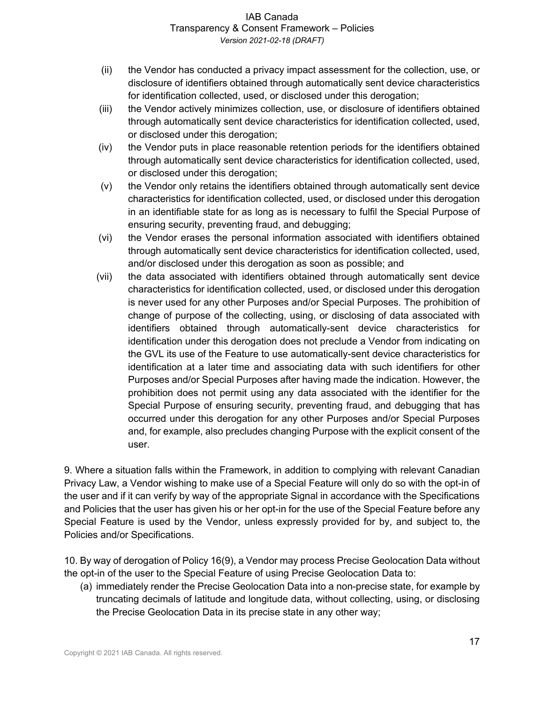- (ii) the Vendor has conducted a privacy impact assessment for the collection, use, or disclosure of identifiers obtained through automatically sent device characteristics for identification collected, used, or disclosed under this derogation;
- (iii) the Vendor actively minimizes collection, use, or disclosure of identifiers obtained through automatically sent device characteristics for identification collected, used, or disclosed under this derogation;
- (iv) the Vendor puts in place reasonable retention periods for the identifiers obtained through automatically sent device characteristics for identification collected, used, or disclosed under this derogation;
- (v) the Vendor only retains the identifiers obtained through automatically sent device characteristics for identification collected, used, or disclosed under this derogation in an identifiable state for as long as is necessary to fulfil the Special Purpose of ensuring security, preventing fraud, and debugging;
- (vi) the Vendor erases the personal information associated with identifiers obtained through automatically sent device characteristics for identification collected, used, and/or disclosed under this derogation as soon as possible; and
- (vii) the data associated with identifiers obtained through automatically sent device characteristics for identification collected, used, or disclosed under this derogation is never used for any other Purposes and/or Special Purposes. The prohibition of change of purpose of the collecting, using, or disclosing of data associated with identifiers obtained through automatically-sent device characteristics for identification under this derogation does not preclude a Vendor from indicating on the GVL its use of the Feature to use automatically-sent device characteristics for identification at a later time and associating data with such identifiers for other Purposes and/or Special Purposes after having made the indication. However, the prohibition does not permit using any data associated with the identifier for the Special Purpose of ensuring security, preventing fraud, and debugging that has occurred under this derogation for any other Purposes and/or Special Purposes and, for example, also precludes changing Purpose with the explicit consent of the user.

9. Where a situation falls within the Framework, in addition to complying with relevant Canadian Privacy Law, a Vendor wishing to make use of a Special Feature will only do so with the opt-in of the user and if it can verify by way of the appropriate Signal in accordance with the Specifications and Policies that the user has given his or her opt-in for the use of the Special Feature before any Special Feature is used by the Vendor, unless expressly provided for by, and subject to, the Policies and/or Specifications.

10. By way of derogation of Policy 16(9), a Vendor may process Precise Geolocation Data without the opt-in of the user to the Special Feature of using Precise Geolocation Data to:

(a) immediately render the Precise Geolocation Data into a non-precise state, for example by truncating decimals of latitude and longitude data, without collecting, using, or disclosing the Precise Geolocation Data in its precise state in any other way;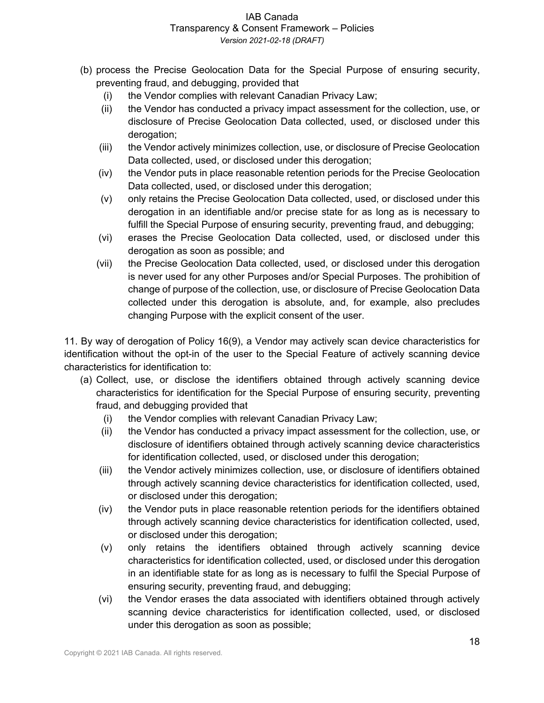- (b) process the Precise Geolocation Data for the Special Purpose of ensuring security, preventing fraud, and debugging, provided that
	- (i) the Vendor complies with relevant Canadian Privacy Law;
	- (ii) the Vendor has conducted a privacy impact assessment for the collection, use, or disclosure of Precise Geolocation Data collected, used, or disclosed under this derogation;
	- (iii) the Vendor actively minimizes collection, use, or disclosure of Precise Geolocation Data collected, used, or disclosed under this derogation;
	- (iv) the Vendor puts in place reasonable retention periods for the Precise Geolocation Data collected, used, or disclosed under this derogation;
	- (v) only retains the Precise Geolocation Data collected, used, or disclosed under this derogation in an identifiable and/or precise state for as long as is necessary to fulfill the Special Purpose of ensuring security, preventing fraud, and debugging;
	- (vi) erases the Precise Geolocation Data collected, used, or disclosed under this derogation as soon as possible; and
	- (vii) the Precise Geolocation Data collected, used, or disclosed under this derogation is never used for any other Purposes and/or Special Purposes. The prohibition of change of purpose of the collection, use, or disclosure of Precise Geolocation Data collected under this derogation is absolute, and, for example, also precludes changing Purpose with the explicit consent of the user.

11. By way of derogation of Policy 16(9), a Vendor may actively scan device characteristics for identification without the opt-in of the user to the Special Feature of actively scanning device characteristics for identification to:

- (a) Collect, use, or disclose the identifiers obtained through actively scanning device characteristics for identification for the Special Purpose of ensuring security, preventing fraud, and debugging provided that
	- (i) the Vendor complies with relevant Canadian Privacy Law;
	- (ii) the Vendor has conducted a privacy impact assessment for the collection, use, or disclosure of identifiers obtained through actively scanning device characteristics for identification collected, used, or disclosed under this derogation;
	- (iii) the Vendor actively minimizes collection, use, or disclosure of identifiers obtained through actively scanning device characteristics for identification collected, used, or disclosed under this derogation;
	- (iv) the Vendor puts in place reasonable retention periods for the identifiers obtained through actively scanning device characteristics for identification collected, used, or disclosed under this derogation;
	- (v) only retains the identifiers obtained through actively scanning device characteristics for identification collected, used, or disclosed under this derogation in an identifiable state for as long as is necessary to fulfil the Special Purpose of ensuring security, preventing fraud, and debugging;
	- (vi) the Vendor erases the data associated with identifiers obtained through actively scanning device characteristics for identification collected, used, or disclosed under this derogation as soon as possible;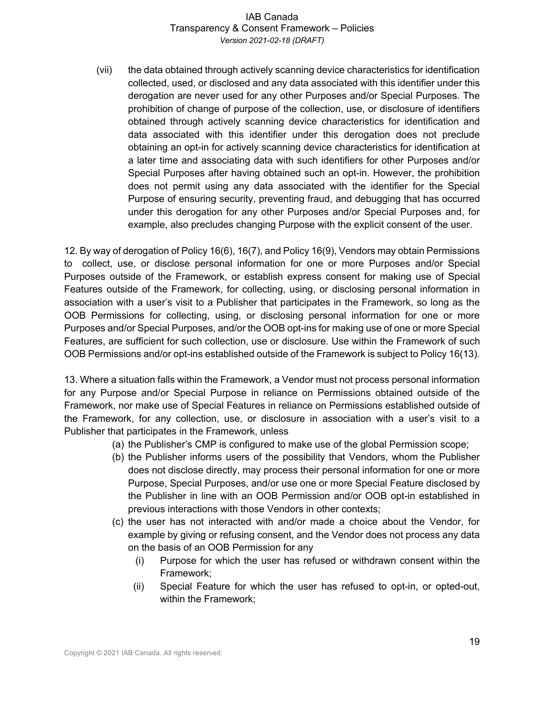(vii) the data obtained through actively scanning device characteristics for identification collected, used, or disclosed and any data associated with this identifier under this derogation are never used for any other Purposes and/or Special Purposes. The prohibition of change of purpose of the collection, use, or disclosure of identifiers obtained through actively scanning device characteristics for identification and data associated with this identifier under this derogation does not preclude obtaining an opt-in for actively scanning device characteristics for identification at a later time and associating data with such identifiers for other Purposes and/or Special Purposes after having obtained such an opt-in. However, the prohibition does not permit using any data associated with the identifier for the Special Purpose of ensuring security, preventing fraud, and debugging that has occurred under this derogation for any other Purposes and/or Special Purposes and, for example, also precludes changing Purpose with the explicit consent of the user.

12. By way of derogation of Policy 16(6), 16(7), and Policy 16(9), Vendors may obtain Permissions to collect, use, or disclose personal information for one or more Purposes and/or Special Purposes outside of the Framework, or establish express consent for making use of Special Features outside of the Framework, for collecting, using, or disclosing personal information in association with a user's visit to a Publisher that participates in the Framework, so long as the OOB Permissions for collecting, using, or disclosing personal information for one or more Purposes and/or Special Purposes, and/or the OOB opt-ins for making use of one or more Special Features, are sufficient for such collection, use or disclosure. Use within the Framework of such OOB Permissions and/or opt-ins established outside of the Framework is subject to Policy 16(13).

13. Where a situation falls within the Framework, a Vendor must not process personal information for any Purpose and/or Special Purpose in reliance on Permissions obtained outside of the Framework, nor make use of Special Features in reliance on Permissions established outside of the Framework, for any collection, use, or disclosure in association with a user's visit to a Publisher that participates in the Framework, unless

- (a) the Publisher's CMP is configured to make use of the global Permission scope;
- (b) the Publisher informs users of the possibility that Vendors, whom the Publisher does not disclose directly, may process their personal information for one or more Purpose, Special Purposes, and/or use one or more Special Feature disclosed by the Publisher in line with an OOB Permission and/or OOB opt-in established in previous interactions with those Vendors in other contexts;
- (c) the user has not interacted with and/or made a choice about the Vendor, for example by giving or refusing consent, and the Vendor does not process any data on the basis of an OOB Permission for any
	- (i) Purpose for which the user has refused or withdrawn consent within the Framework;
	- (ii) Special Feature for which the user has refused to opt-in, or opted-out, within the Framework;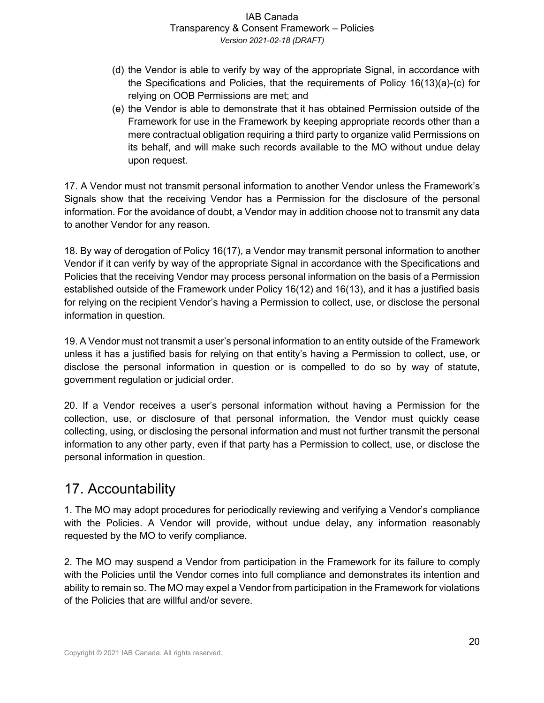- (d) the Vendor is able to verify by way of the appropriate Signal, in accordance with the Specifications and Policies, that the requirements of Policy 16(13)(a)-(c) for relying on OOB Permissions are met; and
- (e) the Vendor is able to demonstrate that it has obtained Permission outside of the Framework for use in the Framework by keeping appropriate records other than a mere contractual obligation requiring a third party to organize valid Permissions on its behalf, and will make such records available to the MO without undue delay upon request.

17. A Vendor must not transmit personal information to another Vendor unless the Framework's Signals show that the receiving Vendor has a Permission for the disclosure of the personal information. For the avoidance of doubt, a Vendor may in addition choose not to transmit any data to another Vendor for any reason.

18. By way of derogation of Policy 16(17), a Vendor may transmit personal information to another Vendor if it can verify by way of the appropriate Signal in accordance with the Specifications and Policies that the receiving Vendor may process personal information on the basis of a Permission established outside of the Framework under Policy 16(12) and 16(13), and it has a justified basis for relying on the recipient Vendor's having a Permission to collect, use, or disclose the personal information in question.

19. A Vendor must not transmit a user's personal information to an entity outside of the Framework unless it has a justified basis for relying on that entity's having a Permission to collect, use, or disclose the personal information in question or is compelled to do so by way of statute, government regulation or judicial order.

20. If a Vendor receives a user's personal information without having a Permission for the collection, use, or disclosure of that personal information, the Vendor must quickly cease collecting, using, or disclosing the personal information and must not further transmit the personal information to any other party, even if that party has a Permission to collect, use, or disclose the personal information in question.

## 17. Accountability

1. The MO may adopt procedures for periodically reviewing and verifying a Vendor's compliance with the Policies. A Vendor will provide, without undue delay, any information reasonably requested by the MO to verify compliance.

2. The MO may suspend a Vendor from participation in the Framework for its failure to comply with the Policies until the Vendor comes into full compliance and demonstrates its intention and ability to remain so. The MO may expel a Vendor from participation in the Framework for violations of the Policies that are willful and/or severe.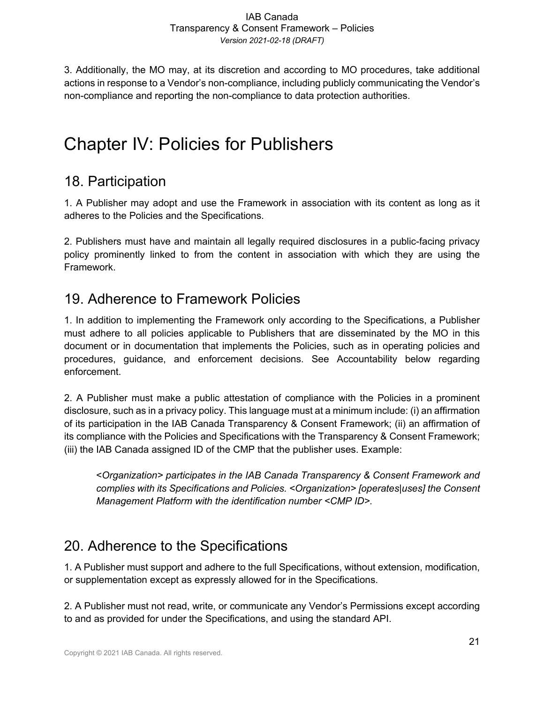3. Additionally, the MO may, at its discretion and according to MO procedures, take additional actions in response to a Vendor's non-compliance, including publicly communicating the Vendor's non-compliance and reporting the non-compliance to data protection authorities.

# Chapter IV: Policies for Publishers

## 18. Participation

1. A Publisher may adopt and use the Framework in association with its content as long as it adheres to the Policies and the Specifications.

2. Publishers must have and maintain all legally required disclosures in a public-facing privacy policy prominently linked to from the content in association with which they are using the Framework.

### 19. Adherence to Framework Policies

1. In addition to implementing the Framework only according to the Specifications, a Publisher must adhere to all policies applicable to Publishers that are disseminated by the MO in this document or in documentation that implements the Policies, such as in operating policies and procedures, guidance, and enforcement decisions. See Accountability below regarding enforcement.

2. A Publisher must make a public attestation of compliance with the Policies in a prominent disclosure, such as in a privacy policy. This language must at a minimum include: (i) an affirmation of its participation in the IAB Canada Transparency & Consent Framework; (ii) an affirmation of its compliance with the Policies and Specifications with the Transparency & Consent Framework; (iii) the IAB Canada assigned ID of the CMP that the publisher uses. Example:

<*Organization> participates in the IAB Canada Transparency & Consent Framework and complies with its Specifications and Policies. <Organization> [operates|uses] the Consent Management Platform with the identification number <CMP ID>.*

# 20. Adherence to the Specifications

1. A Publisher must support and adhere to the full Specifications, without extension, modification, or supplementation except as expressly allowed for in the Specifications.

2. A Publisher must not read, write, or communicate any Vendor's Permissions except according to and as provided for under the Specifications, and using the standard API.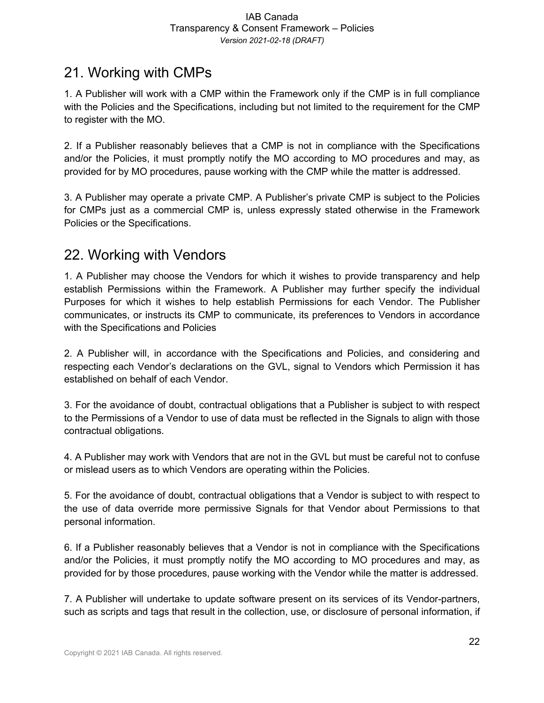### 21. Working with CMPs

1. A Publisher will work with a CMP within the Framework only if the CMP is in full compliance with the Policies and the Specifications, including but not limited to the requirement for the CMP to register with the MO.

2. If a Publisher reasonably believes that a CMP is not in compliance with the Specifications and/or the Policies, it must promptly notify the MO according to MO procedures and may, as provided for by MO procedures, pause working with the CMP while the matter is addressed.

3. A Publisher may operate a private CMP. A Publisher's private CMP is subject to the Policies for CMPs just as a commercial CMP is, unless expressly stated otherwise in the Framework Policies or the Specifications.

### 22. Working with Vendors

1. A Publisher may choose the Vendors for which it wishes to provide transparency and help establish Permissions within the Framework. A Publisher may further specify the individual Purposes for which it wishes to help establish Permissions for each Vendor. The Publisher communicates, or instructs its CMP to communicate, its preferences to Vendors in accordance with the Specifications and Policies

2. A Publisher will, in accordance with the Specifications and Policies, and considering and respecting each Vendor's declarations on the GVL, signal to Vendors which Permission it has established on behalf of each Vendor.

3. For the avoidance of doubt, contractual obligations that a Publisher is subject to with respect to the Permissions of a Vendor to use of data must be reflected in the Signals to align with those contractual obligations.

4. A Publisher may work with Vendors that are not in the GVL but must be careful not to confuse or mislead users as to which Vendors are operating within the Policies.

5. For the avoidance of doubt, contractual obligations that a Vendor is subject to with respect to the use of data override more permissive Signals for that Vendor about Permissions to that personal information.

6. If a Publisher reasonably believes that a Vendor is not in compliance with the Specifications and/or the Policies, it must promptly notify the MO according to MO procedures and may, as provided for by those procedures, pause working with the Vendor while the matter is addressed.

7. A Publisher will undertake to update software present on its services of its Vendor-partners, such as scripts and tags that result in the collection, use, or disclosure of personal information, if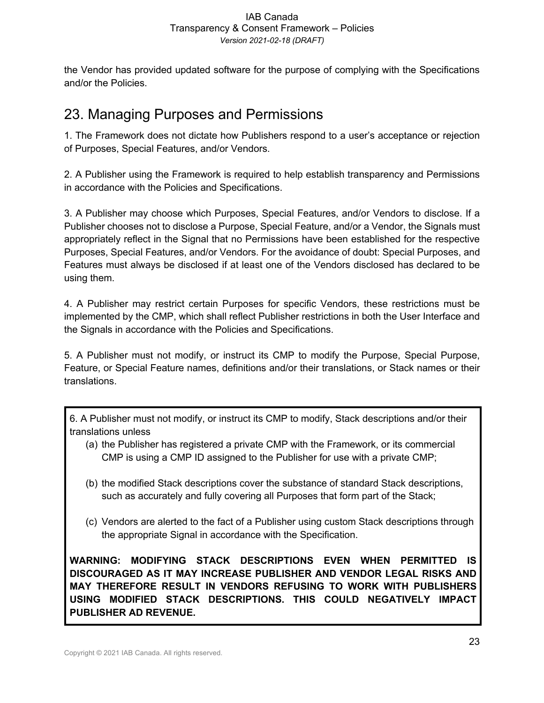the Vendor has provided updated software for the purpose of complying with the Specifications and/or the Policies.

## 23. Managing Purposes and Permissions

1. The Framework does not dictate how Publishers respond to a user's acceptance or rejection of Purposes, Special Features, and/or Vendors.

2. A Publisher using the Framework is required to help establish transparency and Permissions in accordance with the Policies and Specifications.

3. A Publisher may choose which Purposes, Special Features, and/or Vendors to disclose. If a Publisher chooses not to disclose a Purpose, Special Feature, and/or a Vendor, the Signals must appropriately reflect in the Signal that no Permissions have been established for the respective Purposes, Special Features, and/or Vendors. For the avoidance of doubt: Special Purposes, and Features must always be disclosed if at least one of the Vendors disclosed has declared to be using them.

4. A Publisher may restrict certain Purposes for specific Vendors, these restrictions must be implemented by the CMP, which shall reflect Publisher restrictions in both the User Interface and the Signals in accordance with the Policies and Specifications.

5. A Publisher must not modify, or instruct its CMP to modify the Purpose, Special Purpose, Feature, or Special Feature names, definitions and/or their translations, or Stack names or their translations.

6. A Publisher must not modify, or instruct its CMP to modify, Stack descriptions and/or their translations unless

- (a) the Publisher has registered a private CMP with the Framework, or its commercial CMP is using a CMP ID assigned to the Publisher for use with a private CMP;
- (b) the modified Stack descriptions cover the substance of standard Stack descriptions, such as accurately and fully covering all Purposes that form part of the Stack;
- (c) Vendors are alerted to the fact of a Publisher using custom Stack descriptions through the appropriate Signal in accordance with the Specification.

**WARNING: MODIFYING STACK DESCRIPTIONS EVEN WHEN PERMITTED IS DISCOURAGED AS IT MAY INCREASE PUBLISHER AND VENDOR LEGAL RISKS AND MAY THEREFORE RESULT IN VENDORS REFUSING TO WORK WITH PUBLISHERS USING MODIFIED STACK DESCRIPTIONS. THIS COULD NEGATIVELY IMPACT PUBLISHER AD REVENUE.**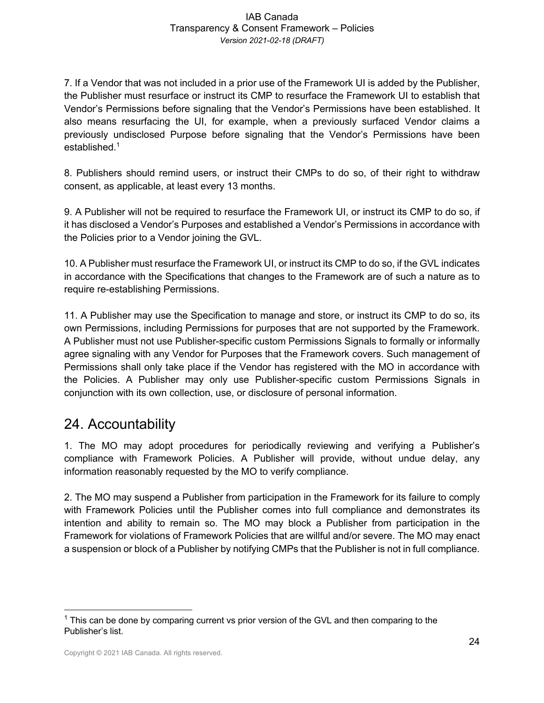7. If a Vendor that was not included in a prior use of the Framework UI is added by the Publisher, the Publisher must resurface or instruct its CMP to resurface the Framework UI to establish that Vendor's Permissions before signaling that the Vendor's Permissions have been established. It also means resurfacing the UI, for example, when a previously surfaced Vendor claims a previously undisclosed Purpose before signaling that the Vendor's Permissions have been established. $1$ 

8. Publishers should remind users, or instruct their CMPs to do so, of their right to withdraw consent, as applicable, at least every 13 months.

9. A Publisher will not be required to resurface the Framework UI, or instruct its CMP to do so, if it has disclosed a Vendor's Purposes and established a Vendor's Permissions in accordance with the Policies prior to a Vendor joining the GVL.

10. A Publisher must resurface the Framework UI, or instruct its CMP to do so, if the GVL indicates in accordance with the Specifications that changes to the Framework are of such a nature as to require re-establishing Permissions.

11. A Publisher may use the Specification to manage and store, or instruct its CMP to do so, its own Permissions, including Permissions for purposes that are not supported by the Framework. A Publisher must not use Publisher-specific custom Permissions Signals to formally or informally agree signaling with any Vendor for Purposes that the Framework covers. Such management of Permissions shall only take place if the Vendor has registered with the MO in accordance with the Policies. A Publisher may only use Publisher-specific custom Permissions Signals in conjunction with its own collection, use, or disclosure of personal information.

## 24. Accountability

1. The MO may adopt procedures for periodically reviewing and verifying a Publisher's compliance with Framework Policies. A Publisher will provide, without undue delay, any information reasonably requested by the MO to verify compliance.

2. The MO may suspend a Publisher from participation in the Framework for its failure to comply with Framework Policies until the Publisher comes into full compliance and demonstrates its intention and ability to remain so. The MO may block a Publisher from participation in the Framework for violations of Framework Policies that are willful and/or severe. The MO may enact a suspension or block of a Publisher by notifying CMPs that the Publisher is not in full compliance.

 $1$  This can be done by comparing current vs prior version of the GVL and then comparing to the Publisher's list.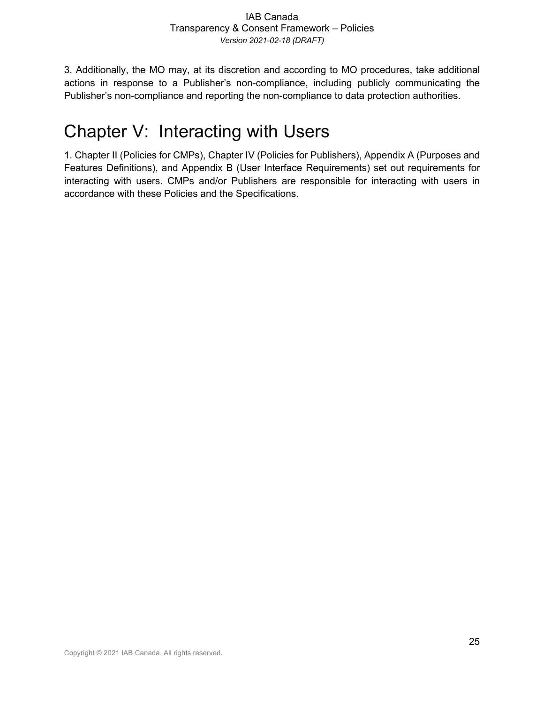3. Additionally, the MO may, at its discretion and according to MO procedures, take additional actions in response to a Publisher's non-compliance, including publicly communicating the Publisher's non-compliance and reporting the non-compliance to data protection authorities.

# Chapter V: Interacting with Users

1. Chapter II (Policies for CMPs), Chapter IV (Policies for Publishers), Appendix A (Purposes and Features Definitions), and Appendix B (User Interface Requirements) set out requirements for interacting with users. CMPs and/or Publishers are responsible for interacting with users in accordance with these Policies and the Specifications.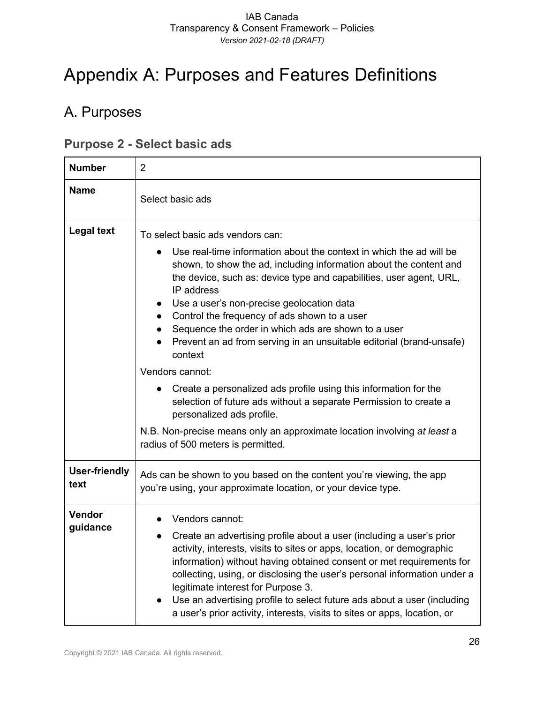# Appendix A: Purposes and Features Definitions

# A. Purposes

### **Purpose 2 - Select basic ads**

| <b>Number</b>                | $\overline{2}$                                                                                                                                                                                                                                                                                                                                                                                                                                                                                                                                                                                                                                                                                                                                                                                                                                                           |
|------------------------------|--------------------------------------------------------------------------------------------------------------------------------------------------------------------------------------------------------------------------------------------------------------------------------------------------------------------------------------------------------------------------------------------------------------------------------------------------------------------------------------------------------------------------------------------------------------------------------------------------------------------------------------------------------------------------------------------------------------------------------------------------------------------------------------------------------------------------------------------------------------------------|
| <b>Name</b>                  | Select basic ads                                                                                                                                                                                                                                                                                                                                                                                                                                                                                                                                                                                                                                                                                                                                                                                                                                                         |
| <b>Legal text</b>            | To select basic ads vendors can:<br>Use real-time information about the context in which the ad will be<br>shown, to show the ad, including information about the content and<br>the device, such as: device type and capabilities, user agent, URL,<br>IP address<br>Use a user's non-precise geolocation data<br>$\bullet$<br>Control the frequency of ads shown to a user<br>$\bullet$<br>Sequence the order in which ads are shown to a user<br>$\bullet$<br>Prevent an ad from serving in an unsuitable editorial (brand-unsafe)<br>context<br>Vendors cannot:<br>Create a personalized ads profile using this information for the<br>$\bullet$<br>selection of future ads without a separate Permission to create a<br>personalized ads profile.<br>N.B. Non-precise means only an approximate location involving at least a<br>radius of 500 meters is permitted. |
| <b>User-friendly</b><br>text | Ads can be shown to you based on the content you're viewing, the app<br>you're using, your approximate location, or your device type.                                                                                                                                                                                                                                                                                                                                                                                                                                                                                                                                                                                                                                                                                                                                    |
| Vendor<br>guidance           | Vendors cannot:<br>Create an advertising profile about a user (including a user's prior<br>activity, interests, visits to sites or apps, location, or demographic<br>information) without having obtained consent or met requirements for<br>collecting, using, or disclosing the user's personal information under a<br>legitimate interest for Purpose 3.<br>Use an advertising profile to select future ads about a user (including<br>a user's prior activity, interests, visits to sites or apps, location, or                                                                                                                                                                                                                                                                                                                                                      |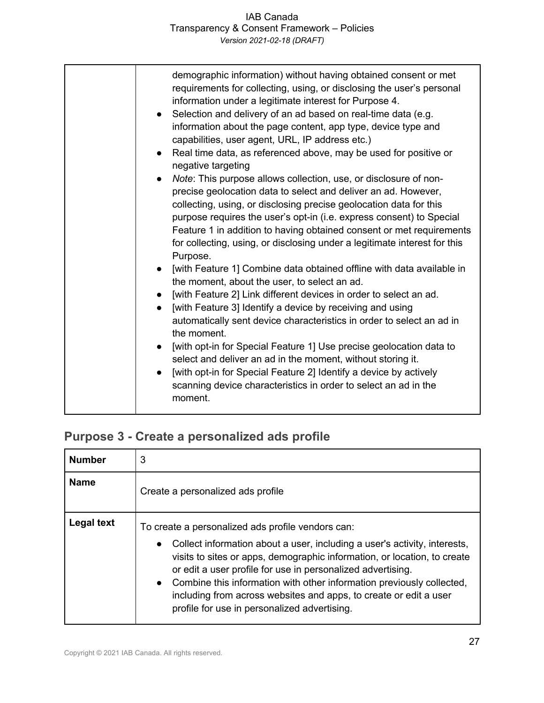| demographic information) without having obtained consent or met<br>requirements for collecting, using, or disclosing the user's personal<br>information under a legitimate interest for Purpose 4.<br>Selection and delivery of an ad based on real-time data (e.g.<br>information about the page content, app type, device type and<br>capabilities, user agent, URL, IP address etc.)<br>Real time data, as referenced above, may be used for positive or<br>$\bullet$<br>negative targeting<br>Note: This purpose allows collection, use, or disclosure of non-<br>precise geolocation data to select and deliver an ad. However,<br>collecting, using, or disclosing precise geolocation data for this<br>purpose requires the user's opt-in (i.e. express consent) to Special<br>Feature 1 in addition to having obtained consent or met requirements<br>for collecting, using, or disclosing under a legitimate interest for this<br>Purpose.<br>[with Feature 1] Combine data obtained offline with data available in<br>the moment, about the user, to select an ad.<br>[with Feature 2] Link different devices in order to select an ad.<br>$\bullet$<br>[with Feature 3] Identify a device by receiving and using<br>$\bullet$<br>automatically sent device characteristics in order to select an ad in<br>the moment.<br>[with opt-in for Special Feature 1] Use precise geolocation data to<br>select and deliver an ad in the moment, without storing it.<br>[with opt-in for Special Feature 2] Identify a device by actively<br>scanning device characteristics in order to select an ad in the<br>moment. |
|---------------------------------------------------------------------------------------------------------------------------------------------------------------------------------------------------------------------------------------------------------------------------------------------------------------------------------------------------------------------------------------------------------------------------------------------------------------------------------------------------------------------------------------------------------------------------------------------------------------------------------------------------------------------------------------------------------------------------------------------------------------------------------------------------------------------------------------------------------------------------------------------------------------------------------------------------------------------------------------------------------------------------------------------------------------------------------------------------------------------------------------------------------------------------------------------------------------------------------------------------------------------------------------------------------------------------------------------------------------------------------------------------------------------------------------------------------------------------------------------------------------------------------------------------------------------------------------------------------------------------|
|                                                                                                                                                                                                                                                                                                                                                                                                                                                                                                                                                                                                                                                                                                                                                                                                                                                                                                                                                                                                                                                                                                                                                                                                                                                                                                                                                                                                                                                                                                                                                                                                                           |

### **Purpose 3 - Create a personalized ads profile**

| <b>Number</b> | 3                                                                                                                                                                                                                                                                                                                                                                                                                                                                                      |
|---------------|----------------------------------------------------------------------------------------------------------------------------------------------------------------------------------------------------------------------------------------------------------------------------------------------------------------------------------------------------------------------------------------------------------------------------------------------------------------------------------------|
| <b>Name</b>   | Create a personalized ads profile                                                                                                                                                                                                                                                                                                                                                                                                                                                      |
| Legal text    | To create a personalized ads profile vendors can:<br>Collect information about a user, including a user's activity, interests,<br>$\bullet$<br>visits to sites or apps, demographic information, or location, to create<br>or edit a user profile for use in personalized advertising.<br>• Combine this information with other information previously collected,<br>including from across websites and apps, to create or edit a user<br>profile for use in personalized advertising. |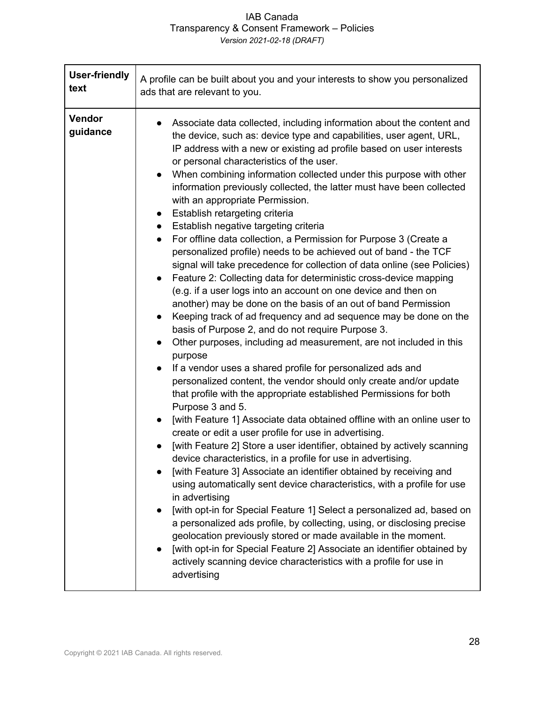| <b>User-friendly</b> | A profile can be built about you and your interests to show you personalized                                                                                                                                                                                                                                                                                                                                                                                                                                                                                                                                                                                                                                                                                                                                                                                                                                                                                                                                                                                                                                                                                                                                                                                                                                                                                                                                                                                                                                                                                                                                                                                                                                                                                                                                                                                                                                                                                                                                                                                                                                                                                                                                                                                                       |
|----------------------|------------------------------------------------------------------------------------------------------------------------------------------------------------------------------------------------------------------------------------------------------------------------------------------------------------------------------------------------------------------------------------------------------------------------------------------------------------------------------------------------------------------------------------------------------------------------------------------------------------------------------------------------------------------------------------------------------------------------------------------------------------------------------------------------------------------------------------------------------------------------------------------------------------------------------------------------------------------------------------------------------------------------------------------------------------------------------------------------------------------------------------------------------------------------------------------------------------------------------------------------------------------------------------------------------------------------------------------------------------------------------------------------------------------------------------------------------------------------------------------------------------------------------------------------------------------------------------------------------------------------------------------------------------------------------------------------------------------------------------------------------------------------------------------------------------------------------------------------------------------------------------------------------------------------------------------------------------------------------------------------------------------------------------------------------------------------------------------------------------------------------------------------------------------------------------------------------------------------------------------------------------------------------------|
| text                 | ads that are relevant to you.                                                                                                                                                                                                                                                                                                                                                                                                                                                                                                                                                                                                                                                                                                                                                                                                                                                                                                                                                                                                                                                                                                                                                                                                                                                                                                                                                                                                                                                                                                                                                                                                                                                                                                                                                                                                                                                                                                                                                                                                                                                                                                                                                                                                                                                      |
| Vendor<br>guidance   | Associate data collected, including information about the content and<br>the device, such as: device type and capabilities, user agent, URL,<br>IP address with a new or existing ad profile based on user interests<br>or personal characteristics of the user.<br>When combining information collected under this purpose with other<br>information previously collected, the latter must have been collected<br>with an appropriate Permission.<br>Establish retargeting criteria<br>$\bullet$<br>Establish negative targeting criteria<br>$\bullet$<br>For offline data collection, a Permission for Purpose 3 (Create a<br>$\bullet$<br>personalized profile) needs to be achieved out of band - the TCF<br>signal will take precedence for collection of data online (see Policies)<br>Feature 2: Collecting data for deterministic cross-device mapping<br>(e.g. if a user logs into an account on one device and then on<br>another) may be done on the basis of an out of band Permission<br>Keeping track of ad frequency and ad sequence may be done on the<br>basis of Purpose 2, and do not require Purpose 3.<br>Other purposes, including ad measurement, are not included in this<br>purpose<br>If a vendor uses a shared profile for personalized ads and<br>personalized content, the vendor should only create and/or update<br>that profile with the appropriate established Permissions for both<br>Purpose 3 and 5.<br>[with Feature 1] Associate data obtained offline with an online user to<br>create or edit a user profile for use in advertising.<br>[with Feature 2] Store a user identifier, obtained by actively scanning<br>device characteristics, in a profile for use in advertising.<br>[with Feature 3] Associate an identifier obtained by receiving and<br>using automatically sent device characteristics, with a profile for use<br>in advertising<br>[with opt-in for Special Feature 1] Select a personalized ad, based on<br>a personalized ads profile, by collecting, using, or disclosing precise<br>geolocation previously stored or made available in the moment.<br>[with opt-in for Special Feature 2] Associate an identifier obtained by<br>actively scanning device characteristics with a profile for use in<br>advertising |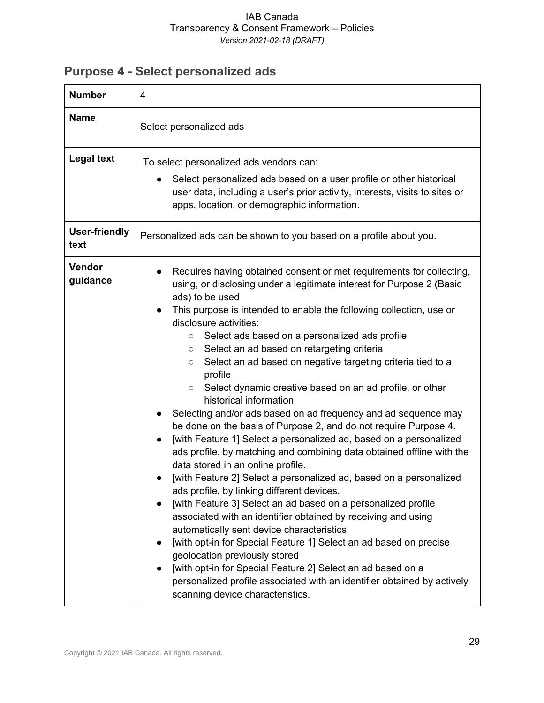# **Purpose 4 - Select personalized ads**

| <b>Number</b>                | 4                                                                                                                                                                                                                                                                                                                                                                                                                                                                                                                                                                                                                                                                                                                                                                                                                                                                                                                                                                                                                                                                                                                                                                                                                                                                                                                                                                                                                                                                                                           |
|------------------------------|-------------------------------------------------------------------------------------------------------------------------------------------------------------------------------------------------------------------------------------------------------------------------------------------------------------------------------------------------------------------------------------------------------------------------------------------------------------------------------------------------------------------------------------------------------------------------------------------------------------------------------------------------------------------------------------------------------------------------------------------------------------------------------------------------------------------------------------------------------------------------------------------------------------------------------------------------------------------------------------------------------------------------------------------------------------------------------------------------------------------------------------------------------------------------------------------------------------------------------------------------------------------------------------------------------------------------------------------------------------------------------------------------------------------------------------------------------------------------------------------------------------|
| <b>Name</b>                  | Select personalized ads                                                                                                                                                                                                                                                                                                                                                                                                                                                                                                                                                                                                                                                                                                                                                                                                                                                                                                                                                                                                                                                                                                                                                                                                                                                                                                                                                                                                                                                                                     |
| <b>Legal text</b>            | To select personalized ads vendors can:<br>Select personalized ads based on a user profile or other historical<br>user data, including a user's prior activity, interests, visits to sites or<br>apps, location, or demographic information.                                                                                                                                                                                                                                                                                                                                                                                                                                                                                                                                                                                                                                                                                                                                                                                                                                                                                                                                                                                                                                                                                                                                                                                                                                                                |
| <b>User-friendly</b><br>text | Personalized ads can be shown to you based on a profile about you.                                                                                                                                                                                                                                                                                                                                                                                                                                                                                                                                                                                                                                                                                                                                                                                                                                                                                                                                                                                                                                                                                                                                                                                                                                                                                                                                                                                                                                          |
| Vendor<br>guidance           | Requires having obtained consent or met requirements for collecting,<br>using, or disclosing under a legitimate interest for Purpose 2 (Basic<br>ads) to be used<br>This purpose is intended to enable the following collection, use or<br>$\bullet$<br>disclosure activities:<br>Select ads based on a personalized ads profile<br>$\circ$<br>Select an ad based on retargeting criteria<br>$\circ$<br>Select an ad based on negative targeting criteria tied to a<br>$\circ$<br>profile<br>Select dynamic creative based on an ad profile, or other<br>$\circ$<br>historical information<br>Selecting and/or ads based on ad frequency and ad sequence may<br>be done on the basis of Purpose 2, and do not require Purpose 4.<br>[with Feature 1] Select a personalized ad, based on a personalized<br>ads profile, by matching and combining data obtained offline with the<br>data stored in an online profile.<br>[with Feature 2] Select a personalized ad, based on a personalized<br>ads profile, by linking different devices.<br>[with Feature 3] Select an ad based on a personalized profile<br>associated with an identifier obtained by receiving and using<br>automatically sent device characteristics<br>[with opt-in for Special Feature 1] Select an ad based on precise<br>geolocation previously stored<br>[with opt-in for Special Feature 2] Select an ad based on a<br>personalized profile associated with an identifier obtained by actively<br>scanning device characteristics. |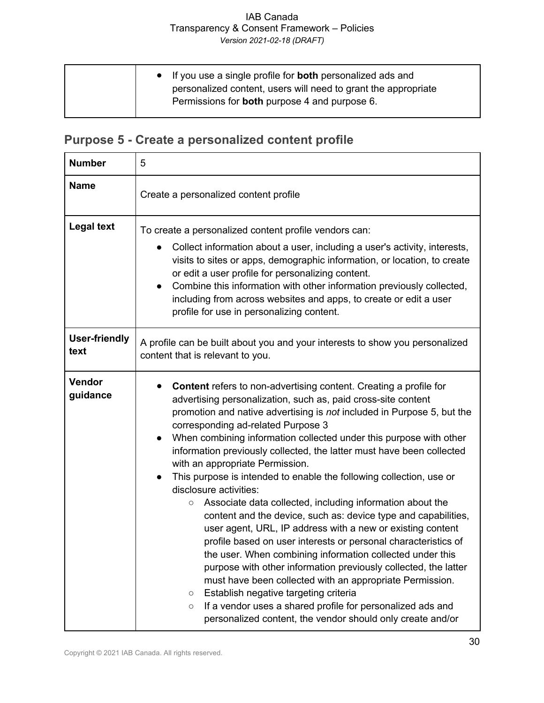| • If you use a single profile for <b>both</b> personalized ads and<br>personalized content, users will need to grant the appropriate<br>Permissions for <b>both</b> purpose 4 and purpose 6. |  |
|----------------------------------------------------------------------------------------------------------------------------------------------------------------------------------------------|--|
|----------------------------------------------------------------------------------------------------------------------------------------------------------------------------------------------|--|

## **Purpose 5 - Create a personalized content profile**

| <b>Number</b>                | 5                                                                                                                                                                                                                                                                                                                                                                                                                                                                                                                                                                                                                                                                                                                                                                                                                                                                                                                                                                                                                                                                                                                                                                                                                                     |
|------------------------------|---------------------------------------------------------------------------------------------------------------------------------------------------------------------------------------------------------------------------------------------------------------------------------------------------------------------------------------------------------------------------------------------------------------------------------------------------------------------------------------------------------------------------------------------------------------------------------------------------------------------------------------------------------------------------------------------------------------------------------------------------------------------------------------------------------------------------------------------------------------------------------------------------------------------------------------------------------------------------------------------------------------------------------------------------------------------------------------------------------------------------------------------------------------------------------------------------------------------------------------|
| <b>Name</b>                  | Create a personalized content profile                                                                                                                                                                                                                                                                                                                                                                                                                                                                                                                                                                                                                                                                                                                                                                                                                                                                                                                                                                                                                                                                                                                                                                                                 |
| <b>Legal text</b>            | To create a personalized content profile vendors can:<br>Collect information about a user, including a user's activity, interests,<br>visits to sites or apps, demographic information, or location, to create<br>or edit a user profile for personalizing content.<br>Combine this information with other information previously collected,<br>$\bullet$<br>including from across websites and apps, to create or edit a user<br>profile for use in personalizing content.                                                                                                                                                                                                                                                                                                                                                                                                                                                                                                                                                                                                                                                                                                                                                           |
| <b>User-friendly</b><br>text | A profile can be built about you and your interests to show you personalized<br>content that is relevant to you.                                                                                                                                                                                                                                                                                                                                                                                                                                                                                                                                                                                                                                                                                                                                                                                                                                                                                                                                                                                                                                                                                                                      |
| Vendor<br>guidance           | <b>Content</b> refers to non-advertising content. Creating a profile for<br>advertising personalization, such as, paid cross-site content<br>promotion and native advertising is not included in Purpose 5, but the<br>corresponding ad-related Purpose 3<br>When combining information collected under this purpose with other<br>information previously collected, the latter must have been collected<br>with an appropriate Permission.<br>This purpose is intended to enable the following collection, use or<br>disclosure activities:<br>Associate data collected, including information about the<br>$\circlearrowright$<br>content and the device, such as: device type and capabilities,<br>user agent, URL, IP address with a new or existing content<br>profile based on user interests or personal characteristics of<br>the user. When combining information collected under this<br>purpose with other information previously collected, the latter<br>must have been collected with an appropriate Permission.<br>Establish negative targeting criteria<br>$\circlearrowright$<br>If a vendor uses a shared profile for personalized ads and<br>$\circ$<br>personalized content, the vendor should only create and/or |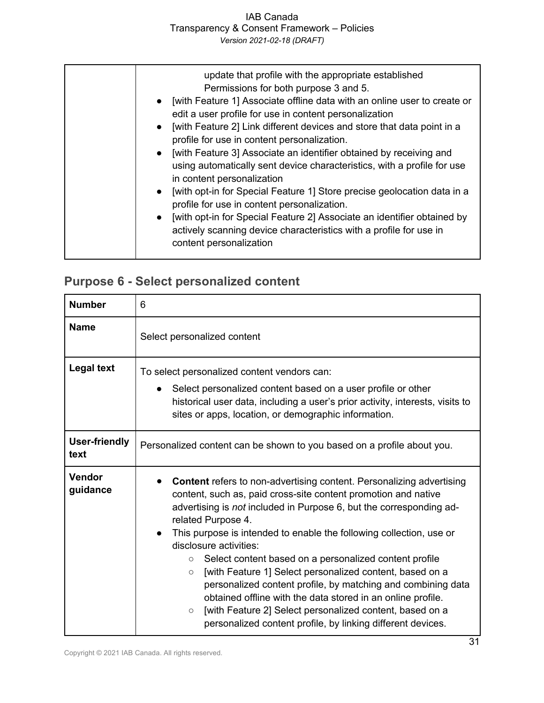| update that profile with the appropriate established<br>Permissions for both purpose 3 and 5.<br>• [with Feature 1] Associate offline data with an online user to create or<br>edit a user profile for use in content personalization<br>[with Feature 2] Link different devices and store that data point in a<br>$\bullet$<br>profile for use in content personalization.<br>• [with Feature 3] Associate an identifier obtained by receiving and<br>using automatically sent device characteristics, with a profile for use<br>in content personalization<br>[with opt-in for Special Feature 1] Store precise geolocation data in a<br>$\bullet$<br>profile for use in content personalization.<br>[with opt-in for Special Feature 2] Associate an identifier obtained by<br>$\bullet$<br>actively scanning device characteristics with a profile for use in<br>content personalization |
|----------------------------------------------------------------------------------------------------------------------------------------------------------------------------------------------------------------------------------------------------------------------------------------------------------------------------------------------------------------------------------------------------------------------------------------------------------------------------------------------------------------------------------------------------------------------------------------------------------------------------------------------------------------------------------------------------------------------------------------------------------------------------------------------------------------------------------------------------------------------------------------------|
|----------------------------------------------------------------------------------------------------------------------------------------------------------------------------------------------------------------------------------------------------------------------------------------------------------------------------------------------------------------------------------------------------------------------------------------------------------------------------------------------------------------------------------------------------------------------------------------------------------------------------------------------------------------------------------------------------------------------------------------------------------------------------------------------------------------------------------------------------------------------------------------------|

## **Purpose 6 - Select personalized content**

| <b>Number</b>                | 6                                                                                                                                                                                                                                                                                                                                                                                                                                                                                                                                                                                                                                                                                                                                                                   |
|------------------------------|---------------------------------------------------------------------------------------------------------------------------------------------------------------------------------------------------------------------------------------------------------------------------------------------------------------------------------------------------------------------------------------------------------------------------------------------------------------------------------------------------------------------------------------------------------------------------------------------------------------------------------------------------------------------------------------------------------------------------------------------------------------------|
| <b>Name</b>                  | Select personalized content                                                                                                                                                                                                                                                                                                                                                                                                                                                                                                                                                                                                                                                                                                                                         |
| <b>Legal text</b>            | To select personalized content vendors can:<br>Select personalized content based on a user profile or other<br>historical user data, including a user's prior activity, interests, visits to<br>sites or apps, location, or demographic information.                                                                                                                                                                                                                                                                                                                                                                                                                                                                                                                |
| <b>User-friendly</b><br>text | Personalized content can be shown to you based on a profile about you.                                                                                                                                                                                                                                                                                                                                                                                                                                                                                                                                                                                                                                                                                              |
| Vendor<br>guidance           | <b>Content</b> refers to non-advertising content. Personalizing advertising<br>content, such as, paid cross-site content promotion and native<br>advertising is <i>not</i> included in Purpose 6, but the corresponding ad-<br>related Purpose 4.<br>This purpose is intended to enable the following collection, use or<br>disclosure activities:<br>Select content based on a personalized content profile<br>$\circ$<br>[with Feature 1] Select personalized content, based on a<br>$\circ$<br>personalized content profile, by matching and combining data<br>obtained offline with the data stored in an online profile.<br>[with Feature 2] Select personalized content, based on a<br>$\circ$<br>personalized content profile, by linking different devices. |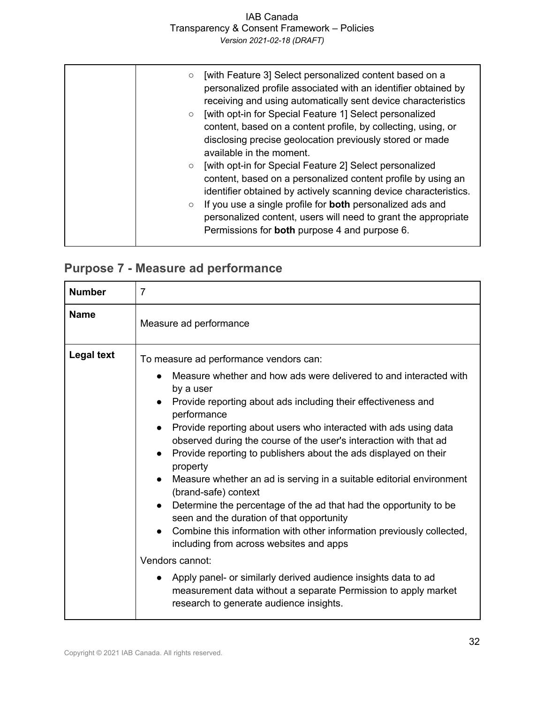### IAB Canada Transparency & Consent Framework – Policies

*Version 2021-02-18 (DRAFT)*

| [with Feature 3] Select personalized content based on a<br>$\circ$<br>personalized profile associated with an identifier obtained by<br>receiving and using automatically sent device characteristics<br>[with opt-in for Special Feature 1] Select personalized<br>$\circ$<br>content, based on a content profile, by collecting, using, or<br>disclosing precise geolocation previously stored or made<br>available in the moment. |
|--------------------------------------------------------------------------------------------------------------------------------------------------------------------------------------------------------------------------------------------------------------------------------------------------------------------------------------------------------------------------------------------------------------------------------------|
| [with opt-in for Special Feature 2] Select personalized<br>$\circ$<br>content, based on a personalized content profile by using an<br>identifier obtained by actively scanning device characteristics.<br>If you use a single profile for <b>both</b> personalized ads and<br>$\circ$<br>personalized content, users will need to grant the appropriate<br>Permissions for <b>both</b> purpose 4 and purpose 6.                      |

## **Purpose 7 - Measure ad performance**

| <b>Number</b>     | $\overline{7}$                                                                                                                                                                                                                                                                                                                                                                                                                                                                                                                                                                                                                                                                                                                                                                                                                                                                                                                                                                                                   |
|-------------------|------------------------------------------------------------------------------------------------------------------------------------------------------------------------------------------------------------------------------------------------------------------------------------------------------------------------------------------------------------------------------------------------------------------------------------------------------------------------------------------------------------------------------------------------------------------------------------------------------------------------------------------------------------------------------------------------------------------------------------------------------------------------------------------------------------------------------------------------------------------------------------------------------------------------------------------------------------------------------------------------------------------|
| <b>Name</b>       | Measure ad performance                                                                                                                                                                                                                                                                                                                                                                                                                                                                                                                                                                                                                                                                                                                                                                                                                                                                                                                                                                                           |
| <b>Legal text</b> | To measure ad performance vendors can:<br>Measure whether and how ads were delivered to and interacted with<br>by a user<br>Provide reporting about ads including their effectiveness and<br>$\bullet$<br>performance<br>Provide reporting about users who interacted with ads using data<br>$\bullet$<br>observed during the course of the user's interaction with that ad<br>Provide reporting to publishers about the ads displayed on their<br>$\bullet$<br>property<br>Measure whether an ad is serving in a suitable editorial environment<br>(brand-safe) context<br>Determine the percentage of the ad that had the opportunity to be<br>seen and the duration of that opportunity<br>Combine this information with other information previously collected,<br>including from across websites and apps<br>Vendors cannot:<br>Apply panel- or similarly derived audience insights data to ad<br>measurement data without a separate Permission to apply market<br>research to generate audience insights. |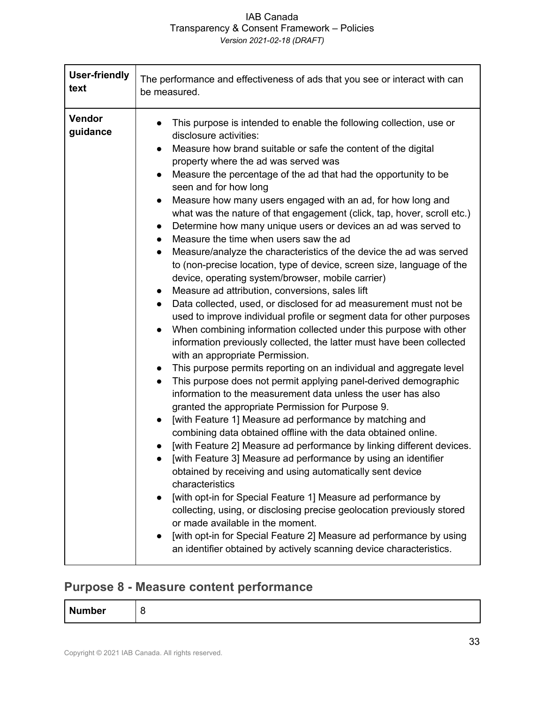| <b>User-friendly</b> | The performance and effectiveness of ads that you see or interact with can                                                                                                                                                                                                                                                                                                                                                                                                                                                                                                                                                                                                                                                                                                                                                                                                                                                                                                                                                                                                                                                                                                                                                                                                                                                                                                                                                                                                                                                                                                                                                                                                                                                                                                                                                                                                                                                                                                                                                                                                                                                                                                                       |
|----------------------|--------------------------------------------------------------------------------------------------------------------------------------------------------------------------------------------------------------------------------------------------------------------------------------------------------------------------------------------------------------------------------------------------------------------------------------------------------------------------------------------------------------------------------------------------------------------------------------------------------------------------------------------------------------------------------------------------------------------------------------------------------------------------------------------------------------------------------------------------------------------------------------------------------------------------------------------------------------------------------------------------------------------------------------------------------------------------------------------------------------------------------------------------------------------------------------------------------------------------------------------------------------------------------------------------------------------------------------------------------------------------------------------------------------------------------------------------------------------------------------------------------------------------------------------------------------------------------------------------------------------------------------------------------------------------------------------------------------------------------------------------------------------------------------------------------------------------------------------------------------------------------------------------------------------------------------------------------------------------------------------------------------------------------------------------------------------------------------------------------------------------------------------------------------------------------------------------|
| text                 | be measured.                                                                                                                                                                                                                                                                                                                                                                                                                                                                                                                                                                                                                                                                                                                                                                                                                                                                                                                                                                                                                                                                                                                                                                                                                                                                                                                                                                                                                                                                                                                                                                                                                                                                                                                                                                                                                                                                                                                                                                                                                                                                                                                                                                                     |
| Vendor<br>guidance   | This purpose is intended to enable the following collection, use or<br>disclosure activities:<br>Measure how brand suitable or safe the content of the digital<br>property where the ad was served was<br>Measure the percentage of the ad that had the opportunity to be<br>seen and for how long<br>Measure how many users engaged with an ad, for how long and<br>$\bullet$<br>what was the nature of that engagement (click, tap, hover, scroll etc.)<br>Determine how many unique users or devices an ad was served to<br>$\bullet$<br>Measure the time when users saw the ad<br>$\bullet$<br>Measure/analyze the characteristics of the device the ad was served<br>$\bullet$<br>to (non-precise location, type of device, screen size, language of the<br>device, operating system/browser, mobile carrier)<br>Measure ad attribution, conversions, sales lift<br>$\bullet$<br>Data collected, used, or disclosed for ad measurement must not be<br>used to improve individual profile or segment data for other purposes<br>When combining information collected under this purpose with other<br>information previously collected, the latter must have been collected<br>with an appropriate Permission.<br>This purpose permits reporting on an individual and aggregate level<br>This purpose does not permit applying panel-derived demographic<br>$\bullet$<br>information to the measurement data unless the user has also<br>granted the appropriate Permission for Purpose 9.<br>[with Feature 1] Measure ad performance by matching and<br>combining data obtained offline with the data obtained online.<br>[with Feature 2] Measure ad performance by linking different devices.<br>[with Feature 3] Measure ad performance by using an identifier<br>obtained by receiving and using automatically sent device<br>characteristics<br>[with opt-in for Special Feature 1] Measure ad performance by<br>$\bullet$<br>collecting, using, or disclosing precise geolocation previously stored<br>or made available in the moment.<br>[with opt-in for Special Feature 2] Measure ad performance by using<br>an identifier obtained by actively scanning device characteristics. |

### **Purpose 8 - Measure content performance**

| <b>Number</b> |  |
|---------------|--|
|---------------|--|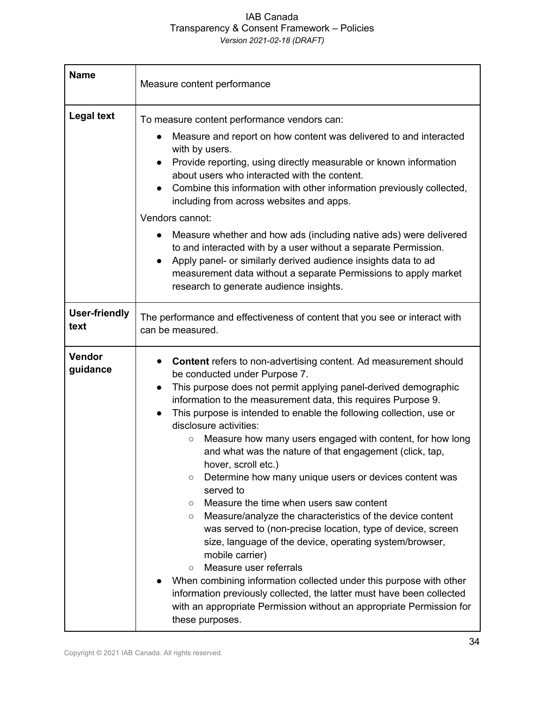| <b>Name</b>                  | Measure content performance                                                                                                                                                                                                                                                                                                                                                                                                                                                                                                                                                                                                                                                                                                                                                                                                                                                                                                                                                                                                                                                                                                                                                       |
|------------------------------|-----------------------------------------------------------------------------------------------------------------------------------------------------------------------------------------------------------------------------------------------------------------------------------------------------------------------------------------------------------------------------------------------------------------------------------------------------------------------------------------------------------------------------------------------------------------------------------------------------------------------------------------------------------------------------------------------------------------------------------------------------------------------------------------------------------------------------------------------------------------------------------------------------------------------------------------------------------------------------------------------------------------------------------------------------------------------------------------------------------------------------------------------------------------------------------|
| <b>Legal text</b>            | To measure content performance vendors can:<br>Measure and report on how content was delivered to and interacted<br>$\bullet$<br>with by users.<br>Provide reporting, using directly measurable or known information<br>about users who interacted with the content.<br>Combine this information with other information previously collected,<br>including from across websites and apps.<br>Vendors cannot:<br>Measure whether and how ads (including native ads) were delivered<br>to and interacted with by a user without a separate Permission.<br>Apply panel- or similarly derived audience insights data to ad<br>measurement data without a separate Permissions to apply market<br>research to generate audience insights.                                                                                                                                                                                                                                                                                                                                                                                                                                              |
| <b>User-friendly</b><br>text | The performance and effectiveness of content that you see or interact with<br>can be measured.                                                                                                                                                                                                                                                                                                                                                                                                                                                                                                                                                                                                                                                                                                                                                                                                                                                                                                                                                                                                                                                                                    |
| <b>Vendor</b><br>guidance    | Content refers to non-advertising content. Ad measurement should<br>be conducted under Purpose 7.<br>This purpose does not permit applying panel-derived demographic<br>information to the measurement data, this requires Purpose 9.<br>This purpose is intended to enable the following collection, use or<br>$\bullet$<br>disclosure activities:<br>Measure how many users engaged with content, for how long<br>$\circlearrowright$<br>and what was the nature of that engagement (click, tap,<br>hover, scroll etc.)<br>Determine how many unique users or devices content was<br>$\circlearrowright$<br>served to<br>Measure the time when users saw content<br>$\circ$<br>Measure/analyze the characteristics of the device content<br>$\circ$<br>was served to (non-precise location, type of device, screen<br>size, language of the device, operating system/browser,<br>mobile carrier)<br>Measure user referrals<br>$\circ$<br>When combining information collected under this purpose with other<br>information previously collected, the latter must have been collected<br>with an appropriate Permission without an appropriate Permission for<br>these purposes. |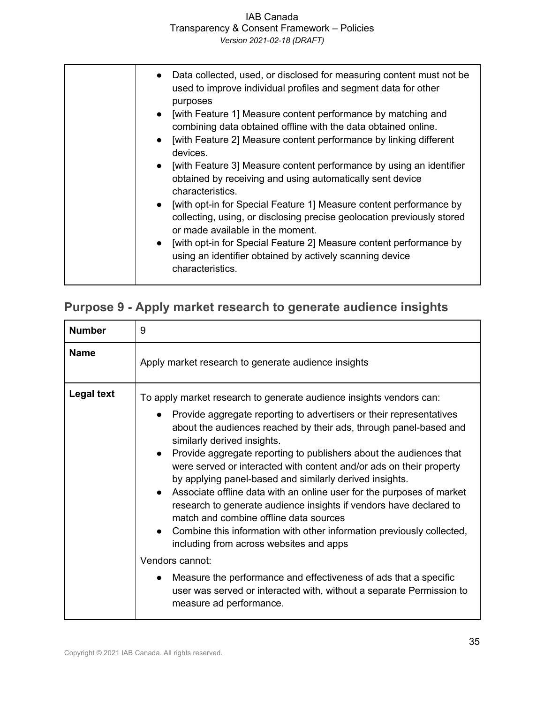IAB Canada Transparency & Consent Framework – Policies

*Version 2021-02-18 (DRAFT)*

| • Data collected, used, or disclosed for measuring content must not be<br>used to improve individual profiles and segment data for other<br>purposes<br>• [with Feature 1] Measure content performance by matching and<br>combining data obtained offline with the data obtained online.<br>[with Feature 2] Measure content performance by linking different<br>$\bullet$<br>devices.<br>[with Feature 3] Measure content performance by using an identifier<br>$\bullet$<br>obtained by receiving and using automatically sent device<br>characteristics.<br>• [with opt-in for Special Feature 1] Measure content performance by<br>collecting, using, or disclosing precise geolocation previously stored<br>or made available in the moment.<br>[with opt-in for Special Feature 2] Measure content performance by<br>$\bullet$<br>using an identifier obtained by actively scanning device |
|--------------------------------------------------------------------------------------------------------------------------------------------------------------------------------------------------------------------------------------------------------------------------------------------------------------------------------------------------------------------------------------------------------------------------------------------------------------------------------------------------------------------------------------------------------------------------------------------------------------------------------------------------------------------------------------------------------------------------------------------------------------------------------------------------------------------------------------------------------------------------------------------------|
| characteristics.                                                                                                                                                                                                                                                                                                                                                                                                                                                                                                                                                                                                                                                                                                                                                                                                                                                                                 |

### **Purpose 9 - Apply market research to generate audience insights**

| <b>Number</b>     | 9                                                                                                                                                                                                                                                                                                                                                                                                                                                                                                                                                                                                                                                                                                                                                                                                                                                                                                                                                                 |
|-------------------|-------------------------------------------------------------------------------------------------------------------------------------------------------------------------------------------------------------------------------------------------------------------------------------------------------------------------------------------------------------------------------------------------------------------------------------------------------------------------------------------------------------------------------------------------------------------------------------------------------------------------------------------------------------------------------------------------------------------------------------------------------------------------------------------------------------------------------------------------------------------------------------------------------------------------------------------------------------------|
| <b>Name</b>       | Apply market research to generate audience insights                                                                                                                                                                                                                                                                                                                                                                                                                                                                                                                                                                                                                                                                                                                                                                                                                                                                                                               |
| <b>Legal text</b> | To apply market research to generate audience insights vendors can:<br>Provide aggregate reporting to advertisers or their representatives<br>about the audiences reached by their ads, through panel-based and<br>similarly derived insights.<br>Provide aggregate reporting to publishers about the audiences that<br>were served or interacted with content and/or ads on their property<br>by applying panel-based and similarly derived insights.<br>• Associate offline data with an online user for the purposes of market<br>research to generate audience insights if vendors have declared to<br>match and combine offline data sources<br>• Combine this information with other information previously collected,<br>including from across websites and apps<br>Vendors cannot:<br>Measure the performance and effectiveness of ads that a specific<br>user was served or interacted with, without a separate Permission to<br>measure ad performance. |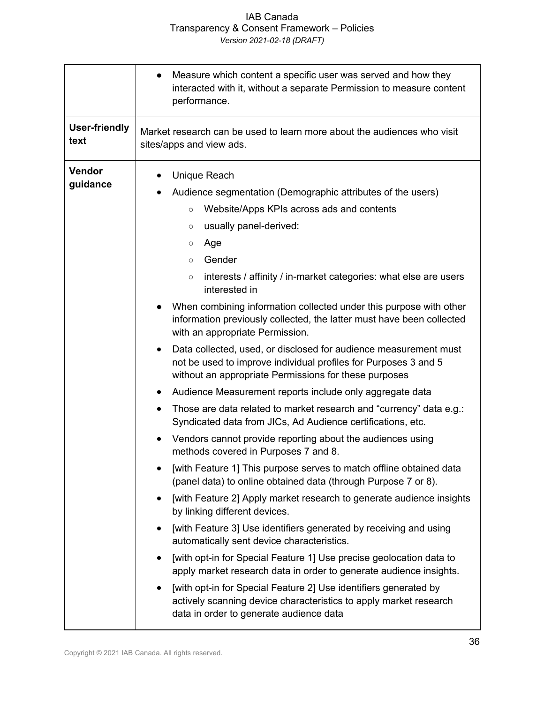| <b>User-friendly</b><br>Market research can be used to learn more about the audiences who visit<br>text<br>sites/apps and view ads.<br>Vendor<br>Unique Reach<br>guidance<br>Audience segmentation (Demographic attributes of the users)<br>Website/Apps KPIs across ads and contents<br>$\circ$<br>usually panel-derived:<br>$\bigcirc$                                                                                                                                                                                                                                                                                                                                                                                                                                                                                                                                                                                                                                                                                                                                                                                                                                                                                                                                                                                                                                                                                                                                                                                                                                                      | Measure which content a specific user was served and how they<br>interacted with it, without a separate Permission to measure content<br>performance. |
|-----------------------------------------------------------------------------------------------------------------------------------------------------------------------------------------------------------------------------------------------------------------------------------------------------------------------------------------------------------------------------------------------------------------------------------------------------------------------------------------------------------------------------------------------------------------------------------------------------------------------------------------------------------------------------------------------------------------------------------------------------------------------------------------------------------------------------------------------------------------------------------------------------------------------------------------------------------------------------------------------------------------------------------------------------------------------------------------------------------------------------------------------------------------------------------------------------------------------------------------------------------------------------------------------------------------------------------------------------------------------------------------------------------------------------------------------------------------------------------------------------------------------------------------------------------------------------------------------|-------------------------------------------------------------------------------------------------------------------------------------------------------|
|                                                                                                                                                                                                                                                                                                                                                                                                                                                                                                                                                                                                                                                                                                                                                                                                                                                                                                                                                                                                                                                                                                                                                                                                                                                                                                                                                                                                                                                                                                                                                                                               |                                                                                                                                                       |
| Age<br>$\bigcirc$<br>Gender<br>$\circ$<br>interests / affinity / in-market categories: what else are users<br>$\bigcirc$<br>interested in<br>When combining information collected under this purpose with other<br>information previously collected, the latter must have been collected<br>with an appropriate Permission.<br>Data collected, used, or disclosed for audience measurement must<br>$\bullet$<br>not be used to improve individual profiles for Purposes 3 and 5<br>without an appropriate Permissions for these purposes<br>Audience Measurement reports include only aggregate data<br>Those are data related to market research and "currency" data e.g.:<br>$\bullet$<br>Syndicated data from JICs, Ad Audience certifications, etc.<br>Vendors cannot provide reporting about the audiences using<br>$\bullet$<br>methods covered in Purposes 7 and 8.<br>[with Feature 1] This purpose serves to match offline obtained data<br>(panel data) to online obtained data (through Purpose 7 or 8).<br>[with Feature 2] Apply market research to generate audience insights<br>$\bullet$<br>by linking different devices.<br>[with Feature 3] Use identifiers generated by receiving and using<br>automatically sent device characteristics.<br>[with opt-in for Special Feature 1] Use precise geolocation data to<br>apply market research data in order to generate audience insights.<br>[with opt-in for Special Feature 2] Use identifiers generated by<br>actively scanning device characteristics to apply market research<br>data in order to generate audience data |                                                                                                                                                       |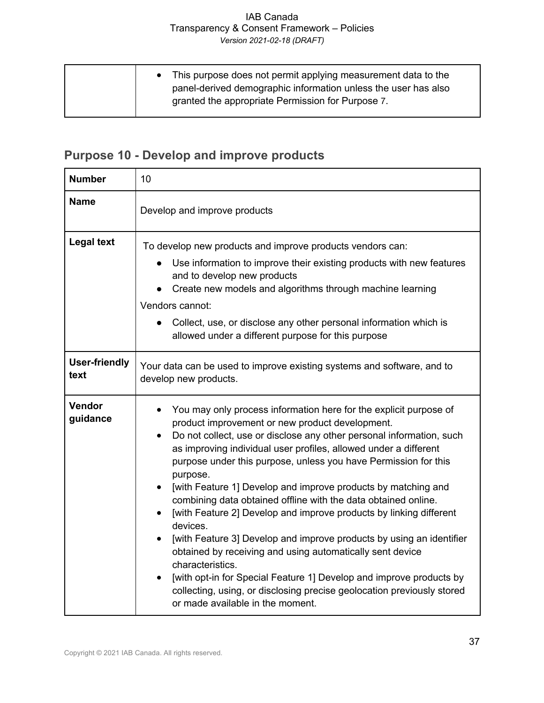| • This purpose does not permit applying measurement data to the<br>panel-derived demographic information unless the user has also<br>granted the appropriate Permission for Purpose 7. |
|----------------------------------------------------------------------------------------------------------------------------------------------------------------------------------------|
|----------------------------------------------------------------------------------------------------------------------------------------------------------------------------------------|

## **Purpose 10 - Develop and improve products**

| <b>Number</b>                | 10                                                                                                                                                                                                                                                                                                                                                                                                                                                                                                                                                                                                                                                                                                                                                                                                                                                                                                                 |
|------------------------------|--------------------------------------------------------------------------------------------------------------------------------------------------------------------------------------------------------------------------------------------------------------------------------------------------------------------------------------------------------------------------------------------------------------------------------------------------------------------------------------------------------------------------------------------------------------------------------------------------------------------------------------------------------------------------------------------------------------------------------------------------------------------------------------------------------------------------------------------------------------------------------------------------------------------|
| <b>Name</b>                  | Develop and improve products                                                                                                                                                                                                                                                                                                                                                                                                                                                                                                                                                                                                                                                                                                                                                                                                                                                                                       |
| <b>Legal text</b>            | To develop new products and improve products vendors can:<br>• Use information to improve their existing products with new features<br>and to develop new products<br>Create new models and algorithms through machine learning<br>Vendors cannot:<br>• Collect, use, or disclose any other personal information which is<br>allowed under a different purpose for this purpose                                                                                                                                                                                                                                                                                                                                                                                                                                                                                                                                    |
| <b>User-friendly</b><br>text | Your data can be used to improve existing systems and software, and to<br>develop new products.                                                                                                                                                                                                                                                                                                                                                                                                                                                                                                                                                                                                                                                                                                                                                                                                                    |
| Vendor<br>guidance           | You may only process information here for the explicit purpose of<br>product improvement or new product development.<br>Do not collect, use or disclose any other personal information, such<br>as improving individual user profiles, allowed under a different<br>purpose under this purpose, unless you have Permission for this<br>purpose.<br>[with Feature 1] Develop and improve products by matching and<br>combining data obtained offline with the data obtained online.<br>[with Feature 2] Develop and improve products by linking different<br>devices.<br>[with Feature 3] Develop and improve products by using an identifier<br>obtained by receiving and using automatically sent device<br>characteristics.<br>[with opt-in for Special Feature 1] Develop and improve products by<br>collecting, using, or disclosing precise geolocation previously stored<br>or made available in the moment. |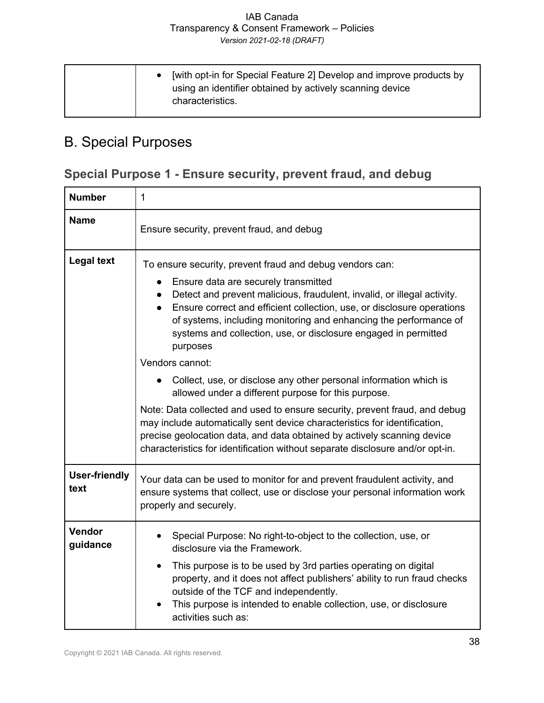# B. Special Purposes

## **Special Purpose 1 - Ensure security, prevent fraud, and debug**

| <b>Number</b>                | 1                                                                                                                                                                                                                                                                                                                                                                                                                                                                                                                                                                                                                                                                                                                                                                                                                                                                                            |
|------------------------------|----------------------------------------------------------------------------------------------------------------------------------------------------------------------------------------------------------------------------------------------------------------------------------------------------------------------------------------------------------------------------------------------------------------------------------------------------------------------------------------------------------------------------------------------------------------------------------------------------------------------------------------------------------------------------------------------------------------------------------------------------------------------------------------------------------------------------------------------------------------------------------------------|
| <b>Name</b>                  | Ensure security, prevent fraud, and debug                                                                                                                                                                                                                                                                                                                                                                                                                                                                                                                                                                                                                                                                                                                                                                                                                                                    |
| <b>Legal text</b>            | To ensure security, prevent fraud and debug vendors can:<br>Ensure data are securely transmitted<br>Detect and prevent malicious, fraudulent, invalid, or illegal activity.<br>Ensure correct and efficient collection, use, or disclosure operations<br>$\bullet$<br>of systems, including monitoring and enhancing the performance of<br>systems and collection, use, or disclosure engaged in permitted<br>purposes<br>Vendors cannot:<br>Collect, use, or disclose any other personal information which is<br>allowed under a different purpose for this purpose.<br>Note: Data collected and used to ensure security, prevent fraud, and debug<br>may include automatically sent device characteristics for identification,<br>precise geolocation data, and data obtained by actively scanning device<br>characteristics for identification without separate disclosure and/or opt-in. |
| <b>User-friendly</b><br>text | Your data can be used to monitor for and prevent fraudulent activity, and<br>ensure systems that collect, use or disclose your personal information work<br>properly and securely.                                                                                                                                                                                                                                                                                                                                                                                                                                                                                                                                                                                                                                                                                                           |
| Vendor<br>guidance           | Special Purpose: No right-to-object to the collection, use, or<br>disclosure via the Framework.<br>This purpose is to be used by 3rd parties operating on digital<br>$\bullet$<br>property, and it does not affect publishers' ability to run fraud checks<br>outside of the TCF and independently.<br>This purpose is intended to enable collection, use, or disclosure<br>activities such as:                                                                                                                                                                                                                                                                                                                                                                                                                                                                                              |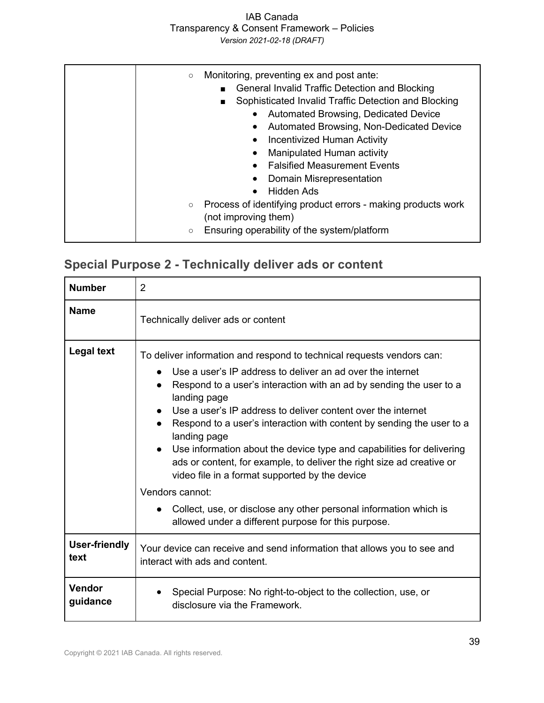### IAB Canada Transparency & Consent Framework – Policies

*Version 2021-02-18 (DRAFT)*

| $\circ$             | Monitoring, preventing ex and post ante:<br><b>General Invalid Traffic Detection and Blocking</b><br>Sophisticated Invalid Traffic Detection and Blocking<br>$\blacksquare$<br>Automated Browsing, Dedicated Device<br>Automated Browsing, Non-Dedicated Device<br><b>Incentivized Human Activity</b><br>Manipulated Human activity<br><b>Falsified Measurement Events</b> |
|---------------------|----------------------------------------------------------------------------------------------------------------------------------------------------------------------------------------------------------------------------------------------------------------------------------------------------------------------------------------------------------------------------|
|                     | Domain Misrepresentation                                                                                                                                                                                                                                                                                                                                                   |
|                     | Hidden Ads<br>$\bullet$                                                                                                                                                                                                                                                                                                                                                    |
| $\circlearrowright$ | Process of identifying product errors - making products work                                                                                                                                                                                                                                                                                                               |
|                     | (not improving them)                                                                                                                                                                                                                                                                                                                                                       |
| $\circ$             | Ensuring operability of the system/platform                                                                                                                                                                                                                                                                                                                                |

### **Special Purpose 2 - Technically deliver ads or content**

| <b>Number</b>                | $\overline{2}$                                                                                                                                                                                                                                                                                                                                                                                                                                                                                                                                                                                               |
|------------------------------|--------------------------------------------------------------------------------------------------------------------------------------------------------------------------------------------------------------------------------------------------------------------------------------------------------------------------------------------------------------------------------------------------------------------------------------------------------------------------------------------------------------------------------------------------------------------------------------------------------------|
| <b>Name</b>                  | Technically deliver ads or content                                                                                                                                                                                                                                                                                                                                                                                                                                                                                                                                                                           |
| <b>Legal text</b>            | To deliver information and respond to technical requests vendors can:<br>Use a user's IP address to deliver an ad over the internet<br>Respond to a user's interaction with an ad by sending the user to a<br>landing page<br>Use a user's IP address to deliver content over the internet<br>Respond to a user's interaction with content by sending the user to a<br>landing page<br>• Use information about the device type and capabilities for delivering<br>ads or content, for example, to deliver the right size ad creative or<br>video file in a format supported by the device<br>Vendors cannot: |
|                              | Collect, use, or disclose any other personal information which is<br>allowed under a different purpose for this purpose.                                                                                                                                                                                                                                                                                                                                                                                                                                                                                     |
| <b>User-friendly</b><br>text | Your device can receive and send information that allows you to see and<br>interact with ads and content.                                                                                                                                                                                                                                                                                                                                                                                                                                                                                                    |
| Vendor<br>guidance           | Special Purpose: No right-to-object to the collection, use, or<br>disclosure via the Framework.                                                                                                                                                                                                                                                                                                                                                                                                                                                                                                              |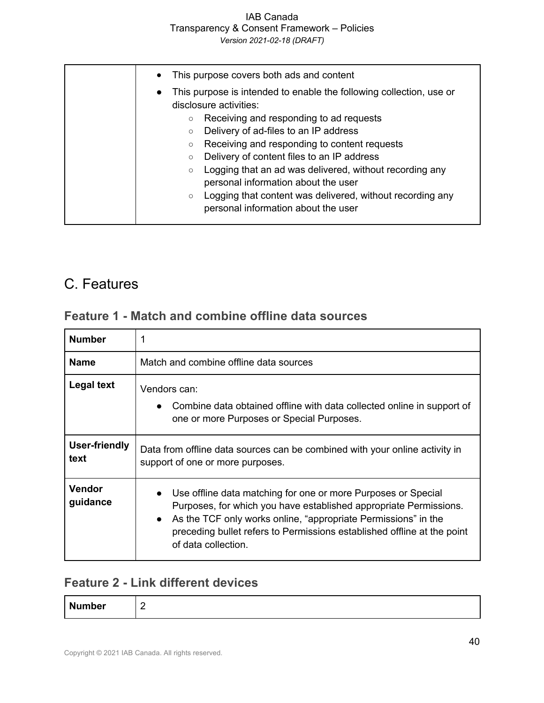### IAB Canada Transparency & Consent Framework – Policies

*Version 2021-02-18 (DRAFT)*

| This purpose covers both ads and content<br>$\bullet$                                                      |
|------------------------------------------------------------------------------------------------------------|
| This purpose is intended to enable the following collection, use or<br>$\bullet$<br>disclosure activities: |
| Receiving and responding to ad requests<br>О                                                               |
| Delivery of ad-files to an IP address<br>О                                                                 |
| Receiving and responding to content requests<br>О                                                          |
| Delivery of content files to an IP address<br>$\circ$                                                      |
| Logging that an ad was delivered, without recording any<br>$\circ$                                         |
| personal information about the user                                                                        |
| Logging that content was delivered, without recording any<br>$\circ$                                       |
| personal information about the user                                                                        |

## C. Features

### **Feature 1 - Match and combine offline data sources**

| <b>Number</b>         |                                                                                                                                                                                                                                                                                                        |
|-----------------------|--------------------------------------------------------------------------------------------------------------------------------------------------------------------------------------------------------------------------------------------------------------------------------------------------------|
| <b>Name</b>           | Match and combine offline data sources                                                                                                                                                                                                                                                                 |
| <b>Legal text</b>     | Vendors can:<br>Combine data obtained offline with data collected online in support of<br>one or more Purposes or Special Purposes.                                                                                                                                                                    |
| User-friendly<br>text | Data from offline data sources can be combined with your online activity in<br>support of one or more purposes.                                                                                                                                                                                        |
| Vendor<br>guidance    | Use offline data matching for one or more Purposes or Special<br>Purposes, for which you have established appropriate Permissions.<br>As the TCF only works online, "appropriate Permissions" in the<br>preceding bullet refers to Permissions established offline at the point<br>of data collection. |

### **Feature 2 - Link different devices**

| N<br>ımber | . .<br>- |
|------------|----------|
|            |          |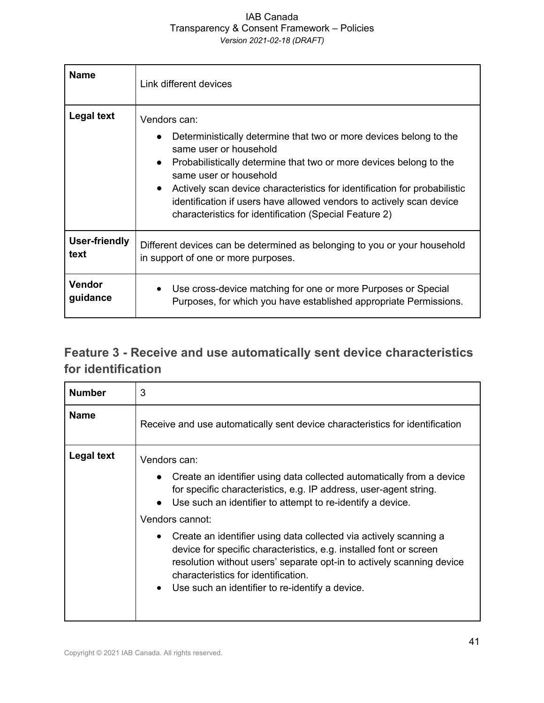| <b>Name</b>          | Link different devices                                                                                                                                                                                                                                                                                                                                                                                                      |
|----------------------|-----------------------------------------------------------------------------------------------------------------------------------------------------------------------------------------------------------------------------------------------------------------------------------------------------------------------------------------------------------------------------------------------------------------------------|
| <b>Legal text</b>    | Vendors can:<br>Deterministically determine that two or more devices belong to the<br>same user or household<br>Probabilistically determine that two or more devices belong to the<br>same user or household<br>Actively scan device characteristics for identification for probabilistic<br>identification if users have allowed vendors to actively scan device<br>characteristics for identification (Special Feature 2) |
| <b>User-friendly</b> | Different devices can be determined as belonging to you or your household                                                                                                                                                                                                                                                                                                                                                   |
| text                 | in support of one or more purposes.                                                                                                                                                                                                                                                                                                                                                                                         |
| Vendor               | Use cross-device matching for one or more Purposes or Special                                                                                                                                                                                                                                                                                                                                                               |
| guidance             | Purposes, for which you have established appropriate Permissions.                                                                                                                                                                                                                                                                                                                                                           |

### **Feature 3 - Receive and use automatically sent device characteristics for identification**

| <b>Number</b> | 3                                                                                                                                                                                                                                                                                                                                                                                                                                                                                                                                                                                   |
|---------------|-------------------------------------------------------------------------------------------------------------------------------------------------------------------------------------------------------------------------------------------------------------------------------------------------------------------------------------------------------------------------------------------------------------------------------------------------------------------------------------------------------------------------------------------------------------------------------------|
| <b>Name</b>   | Receive and use automatically sent device characteristics for identification                                                                                                                                                                                                                                                                                                                                                                                                                                                                                                        |
| Legal text    | Vendors can:<br>Create an identifier using data collected automatically from a device<br>for specific characteristics, e.g. IP address, user-agent string.<br>Use such an identifier to attempt to re-identify a device.<br>Vendors cannot:<br>Create an identifier using data collected via actively scanning a<br>$\bullet$<br>device for specific characteristics, e.g. installed font or screen<br>resolution without users' separate opt-in to actively scanning device<br>characteristics for identification.<br>Use such an identifier to re-identify a device.<br>$\bullet$ |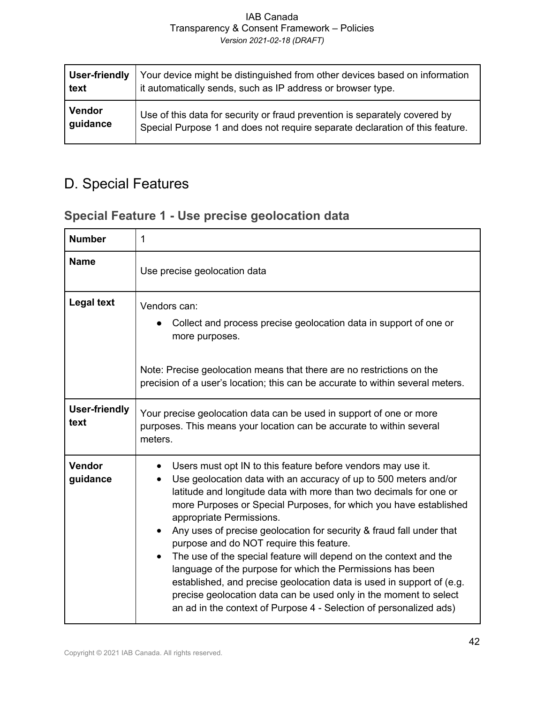| User-friendly | Your device might be distinguished from other devices based on information   |
|---------------|------------------------------------------------------------------------------|
| text          | it automatically sends, such as IP address or browser type.                  |
| <b>Vendor</b> | Use of this data for security or fraud prevention is separately covered by   |
| guidance      | Special Purpose 1 and does not require separate declaration of this feature. |

# D. Special Features

### **Special Feature 1 - Use precise geolocation data**

| <b>Number</b>                | $\mathbf{1}$                                                                                                                                                                                                                                                                                                                                                                                                                                                                                                                                                                                                                                                                                                                                                                       |
|------------------------------|------------------------------------------------------------------------------------------------------------------------------------------------------------------------------------------------------------------------------------------------------------------------------------------------------------------------------------------------------------------------------------------------------------------------------------------------------------------------------------------------------------------------------------------------------------------------------------------------------------------------------------------------------------------------------------------------------------------------------------------------------------------------------------|
| <b>Name</b>                  | Use precise geolocation data                                                                                                                                                                                                                                                                                                                                                                                                                                                                                                                                                                                                                                                                                                                                                       |
| <b>Legal text</b>            | Vendors can:<br>Collect and process precise geolocation data in support of one or<br>more purposes.                                                                                                                                                                                                                                                                                                                                                                                                                                                                                                                                                                                                                                                                                |
|                              | Note: Precise geolocation means that there are no restrictions on the<br>precision of a user's location; this can be accurate to within several meters.                                                                                                                                                                                                                                                                                                                                                                                                                                                                                                                                                                                                                            |
| <b>User-friendly</b><br>text | Your precise geolocation data can be used in support of one or more<br>purposes. This means your location can be accurate to within several<br>meters.                                                                                                                                                                                                                                                                                                                                                                                                                                                                                                                                                                                                                             |
| Vendor<br>guidance           | Users must opt IN to this feature before vendors may use it.<br>Use geolocation data with an accuracy of up to 500 meters and/or<br>latitude and longitude data with more than two decimals for one or<br>more Purposes or Special Purposes, for which you have established<br>appropriate Permissions.<br>Any uses of precise geolocation for security & fraud fall under that<br>purpose and do NOT require this feature.<br>The use of the special feature will depend on the context and the<br>language of the purpose for which the Permissions has been<br>established, and precise geolocation data is used in support of (e.g.<br>precise geolocation data can be used only in the moment to select<br>an ad in the context of Purpose 4 - Selection of personalized ads) |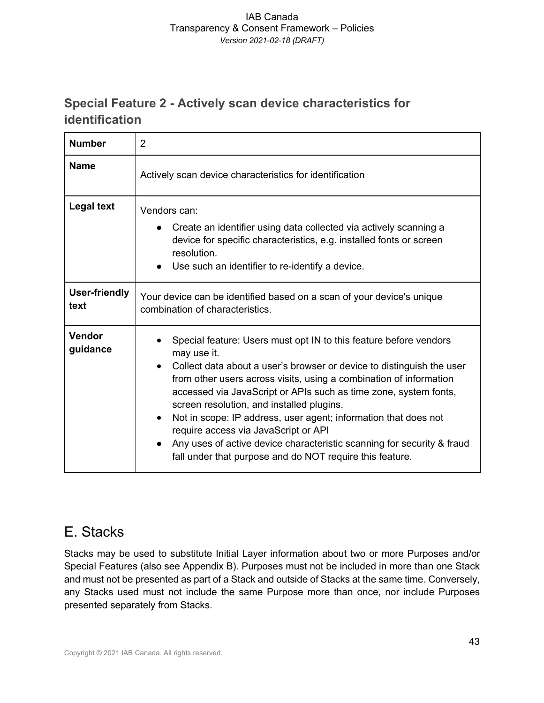### **Special Feature 2 - Actively scan device characteristics for identification**

| <b>Number</b>                | $\overline{2}$                                                                                                                                                                                                                                                                                                                                                                                                                                                                                                                                                                                                 |
|------------------------------|----------------------------------------------------------------------------------------------------------------------------------------------------------------------------------------------------------------------------------------------------------------------------------------------------------------------------------------------------------------------------------------------------------------------------------------------------------------------------------------------------------------------------------------------------------------------------------------------------------------|
| <b>Name</b>                  | Actively scan device characteristics for identification                                                                                                                                                                                                                                                                                                                                                                                                                                                                                                                                                        |
| <b>Legal text</b>            | Vendors can:<br>Create an identifier using data collected via actively scanning a<br>device for specific characteristics, e.g. installed fonts or screen<br>resolution.<br>Use such an identifier to re-identify a device.                                                                                                                                                                                                                                                                                                                                                                                     |
| <b>User-friendly</b><br>text | Your device can be identified based on a scan of your device's unique<br>combination of characteristics.                                                                                                                                                                                                                                                                                                                                                                                                                                                                                                       |
| Vendor<br>guidance           | Special feature: Users must opt IN to this feature before vendors<br>may use it.<br>Collect data about a user's browser or device to distinguish the user<br>$\bullet$<br>from other users across visits, using a combination of information<br>accessed via JavaScript or APIs such as time zone, system fonts,<br>screen resolution, and installed plugins.<br>Not in scope: IP address, user agent; information that does not<br>require access via JavaScript or API<br>Any uses of active device characteristic scanning for security & fraud<br>fall under that purpose and do NOT require this feature. |

# E. Stacks

Stacks may be used to substitute Initial Layer information about two or more Purposes and/or Special Features (also see Appendix B). Purposes must not be included in more than one Stack and must not be presented as part of a Stack and outside of Stacks at the same time. Conversely, any Stacks used must not include the same Purpose more than once, nor include Purposes presented separately from Stacks.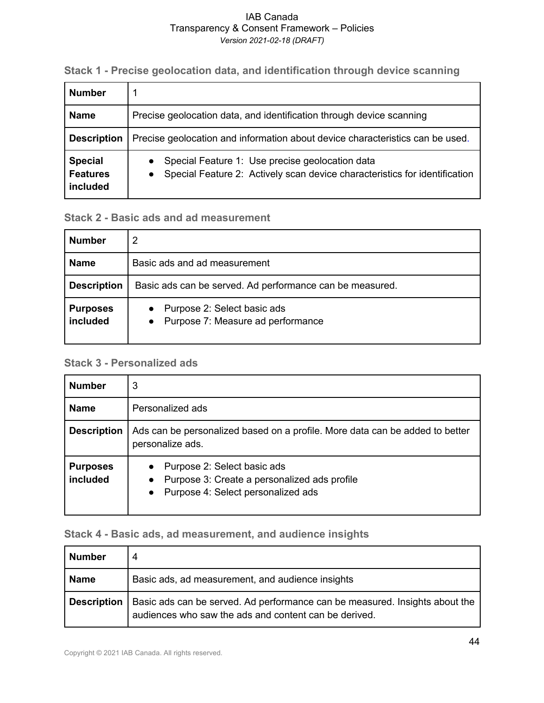**Stack 1 - Precise geolocation data, and identification through device scanning**

| <b>Number</b>                                 |                                                                                                                                                         |
|-----------------------------------------------|---------------------------------------------------------------------------------------------------------------------------------------------------------|
| <b>Name</b>                                   | Precise geolocation data, and identification through device scanning                                                                                    |
| <b>Description</b>                            | Precise geolocation and information about device characteristics can be used.                                                                           |
| <b>Special</b><br><b>Features</b><br>included | Special Feature 1: Use precise geolocation data<br>$\bullet$<br>Special Feature 2: Actively scan device characteristics for identification<br>$\bullet$ |

#### **Stack 2 - Basic ads and ad measurement**

| <b>Number</b>               | 2                                                                    |
|-----------------------------|----------------------------------------------------------------------|
| <b>Name</b>                 | Basic ads and ad measurement                                         |
| <b>Description</b>          | Basic ads can be served. Ad performance can be measured.             |
| <b>Purposes</b><br>included | • Purpose 2: Select basic ads<br>• Purpose 7: Measure ad performance |

### **Stack 3 - Personalized ads**

| <b>Number</b>               | 3                                                                                                                                           |
|-----------------------------|---------------------------------------------------------------------------------------------------------------------------------------------|
| <b>Name</b>                 | Personalized ads                                                                                                                            |
| <b>Description</b>          | Ads can be personalized based on a profile. More data can be added to better<br>personalize ads.                                            |
| <b>Purposes</b><br>included | Purpose 2: Select basic ads<br>Purpose 3: Create a personalized ads profile<br>$\bullet$<br>Purpose 4: Select personalized ads<br>$\bullet$ |

### **Stack 4 - Basic ads, ad measurement, and audience insights**

| <b>Number</b>      | 4                                                                                                                                    |
|--------------------|--------------------------------------------------------------------------------------------------------------------------------------|
| <b>Name</b>        | Basic ads, ad measurement, and audience insights                                                                                     |
| <b>Description</b> | Basic ads can be served. Ad performance can be measured. Insights about the<br>audiences who saw the ads and content can be derived. |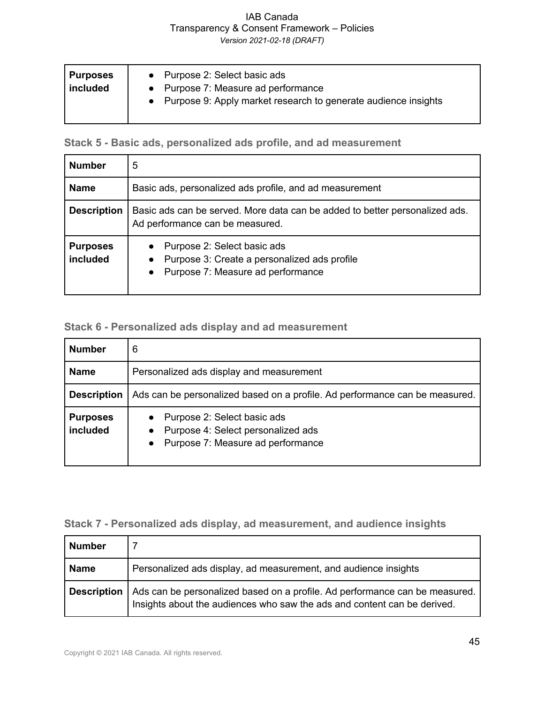**Purposes included** ● Purpose 2: Select basic ads ● Purpose 7: Measure ad performance ● Purpose 9: Apply market research to generate audience insights

**Stack 5 - Basic ads, personalized ads profile, and ad measurement**

| <b>Number</b>               | 5                                                                                                                                          |
|-----------------------------|--------------------------------------------------------------------------------------------------------------------------------------------|
| <b>Name</b>                 | Basic ads, personalized ads profile, and ad measurement                                                                                    |
| <b>Description</b>          | Basic ads can be served. More data can be added to better personalized ads.<br>Ad performance can be measured.                             |
| <b>Purposes</b><br>included | Purpose 2: Select basic ads<br>$\bullet$<br>Purpose 3: Create a personalized ads profile<br>Purpose 7: Measure ad performance<br>$\bullet$ |

#### **Stack 6 - Personalized ads display and ad measurement**

| <b>Number</b>               | 6                                                                                                                                |  |  |  |  |  |  |  |  |  |
|-----------------------------|----------------------------------------------------------------------------------------------------------------------------------|--|--|--|--|--|--|--|--|--|
| <b>Name</b>                 | Personalized ads display and measurement                                                                                         |  |  |  |  |  |  |  |  |  |
| <b>Description</b>          | Ads can be personalized based on a profile. Ad performance can be measured.                                                      |  |  |  |  |  |  |  |  |  |
| <b>Purposes</b><br>included | Purpose 2: Select basic ads<br>Purpose 4: Select personalized ads<br>$\bullet$<br>Purpose 7: Measure ad performance<br>$\bullet$ |  |  |  |  |  |  |  |  |  |

### **Stack 7 - Personalized ads display, ad measurement, and audience insights**

| Number             |                                                                                                                                                         |  |  |  |  |  |
|--------------------|---------------------------------------------------------------------------------------------------------------------------------------------------------|--|--|--|--|--|
| <b>Name</b>        | Personalized ads display, ad measurement, and audience insights                                                                                         |  |  |  |  |  |
| <b>Description</b> | Ads can be personalized based on a profile. Ad performance can be measured.<br>Insights about the audiences who saw the ads and content can be derived. |  |  |  |  |  |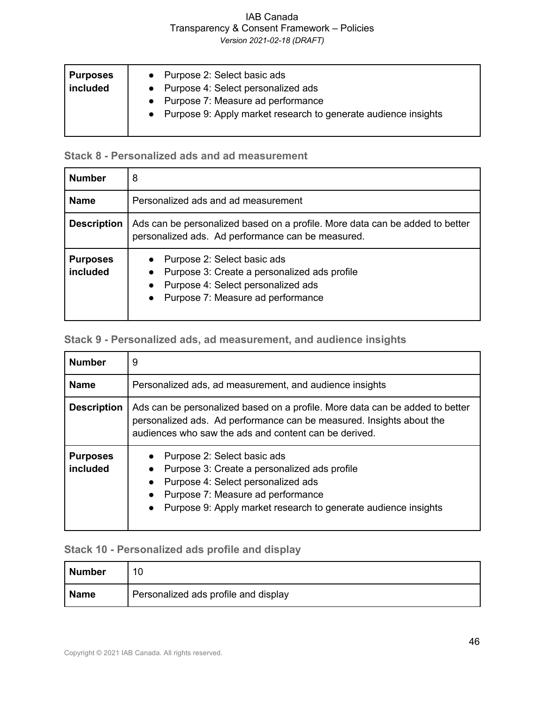### IAB Canada Transparency & Consent Framework – Policies

*Version 2021-02-18 (DRAFT)*

| • Purpose 7: Measure ad performance<br>• Purpose 9: Apply market research to generate audience insights | <b>Purposes</b><br>included | Purpose 2: Select basic ads<br>$\bullet$<br>• Purpose 4: Select personalized ads |  |
|---------------------------------------------------------------------------------------------------------|-----------------------------|----------------------------------------------------------------------------------|--|
|---------------------------------------------------------------------------------------------------------|-----------------------------|----------------------------------------------------------------------------------|--|

### **Stack 8 - Personalized ads and ad measurement**

| <b>Number</b>               | 8                                                                                                                                                                                             |  |  |  |  |  |  |  |  |
|-----------------------------|-----------------------------------------------------------------------------------------------------------------------------------------------------------------------------------------------|--|--|--|--|--|--|--|--|
| <b>Name</b>                 | Personalized ads and ad measurement                                                                                                                                                           |  |  |  |  |  |  |  |  |
| <b>Description</b>          | Ads can be personalized based on a profile. More data can be added to better<br>personalized ads. Ad performance can be measured.                                                             |  |  |  |  |  |  |  |  |
| <b>Purposes</b><br>included | Purpose 2: Select basic ads<br>Purpose 3: Create a personalized ads profile<br>$\bullet$<br>Purpose 4: Select personalized ads<br>$\bullet$<br>Purpose 7: Measure ad performance<br>$\bullet$ |  |  |  |  |  |  |  |  |

### **Stack 9 - Personalized ads, ad measurement, and audience insights**

| <b>Number</b>               | 9                                                                                                                                                                                                                                                               |  |  |  |  |  |  |  |
|-----------------------------|-----------------------------------------------------------------------------------------------------------------------------------------------------------------------------------------------------------------------------------------------------------------|--|--|--|--|--|--|--|
| <b>Name</b>                 | Personalized ads, ad measurement, and audience insights                                                                                                                                                                                                         |  |  |  |  |  |  |  |
| <b>Description</b>          | Ads can be personalized based on a profile. More data can be added to better<br>personalized ads. Ad performance can be measured. Insights about the<br>audiences who saw the ads and content can be derived.                                                   |  |  |  |  |  |  |  |
| <b>Purposes</b><br>included | Purpose 2: Select basic ads<br>Purpose 3: Create a personalized ads profile<br>$\bullet$<br>Purpose 4: Select personalized ads<br>$\bullet$<br>Purpose 7: Measure ad performance<br>Purpose 9: Apply market research to generate audience insights<br>$\bullet$ |  |  |  |  |  |  |  |

### **Stack 10 - Personalized ads profile and display**

| <b>Number</b> |                                      |
|---------------|--------------------------------------|
| <b>Name</b>   | Personalized ads profile and display |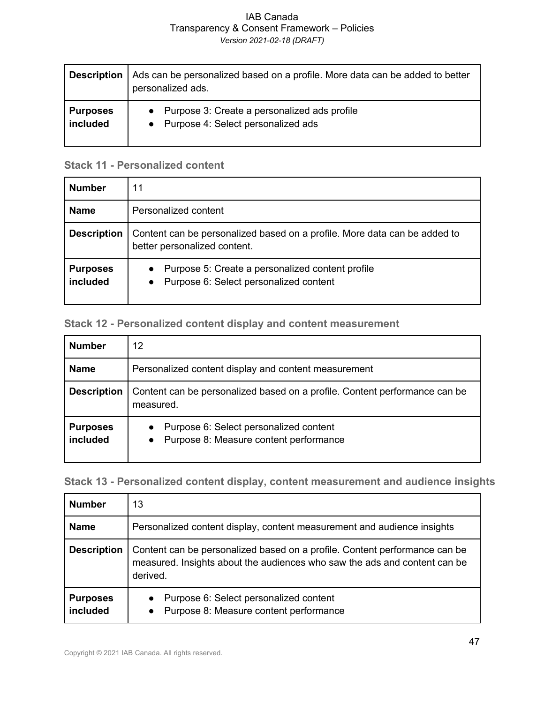| Description     | Ads can be personalized based on a profile. More data can be added to better<br>personalized ads. |
|-----------------|---------------------------------------------------------------------------------------------------|
| <b>Purposes</b> | • Purpose 3: Create a personalized ads profile                                                    |
| included        | • Purpose 4: Select personalized ads                                                              |

#### **Stack 11 - Personalized content**

| <b>Number</b>               | 11                                                                                                                   |  |  |  |  |  |  |
|-----------------------------|----------------------------------------------------------------------------------------------------------------------|--|--|--|--|--|--|
| <b>Name</b>                 | Personalized content                                                                                                 |  |  |  |  |  |  |
| <b>Description</b>          | Content can be personalized based on a profile. More data can be added to<br>better personalized content.            |  |  |  |  |  |  |
| <b>Purposes</b><br>included | Purpose 5: Create a personalized content profile<br>$\bullet$<br>Purpose 6: Select personalized content<br>$\bullet$ |  |  |  |  |  |  |

### **Stack 12 - Personalized content display and content measurement**

| <b>Number</b>               | 12                                                                                              |  |  |  |  |  |  |  |
|-----------------------------|-------------------------------------------------------------------------------------------------|--|--|--|--|--|--|--|
| <b>Name</b>                 | Personalized content display and content measurement                                            |  |  |  |  |  |  |  |
| <b>Description</b>          | Content can be personalized based on a profile. Content performance can be<br>measured.         |  |  |  |  |  |  |  |
| <b>Purposes</b><br>included | Purpose 6: Select personalized content<br>$\bullet$<br>• Purpose 8: Measure content performance |  |  |  |  |  |  |  |

**Stack 13 - Personalized content display, content measurement and audience insights**

| <b>Number</b>               | 13                                                                                                                                                                  |  |  |  |  |  |  |  |
|-----------------------------|---------------------------------------------------------------------------------------------------------------------------------------------------------------------|--|--|--|--|--|--|--|
| <b>Name</b>                 | Personalized content display, content measurement and audience insights                                                                                             |  |  |  |  |  |  |  |
| <b>Description</b>          | Content can be personalized based on a profile. Content performance can be<br>measured. Insights about the audiences who saw the ads and content can be<br>derived. |  |  |  |  |  |  |  |
| <b>Purposes</b><br>included | Purpose 6: Select personalized content<br>$\bullet$<br>Purpose 8: Measure content performance<br>$\bullet$                                                          |  |  |  |  |  |  |  |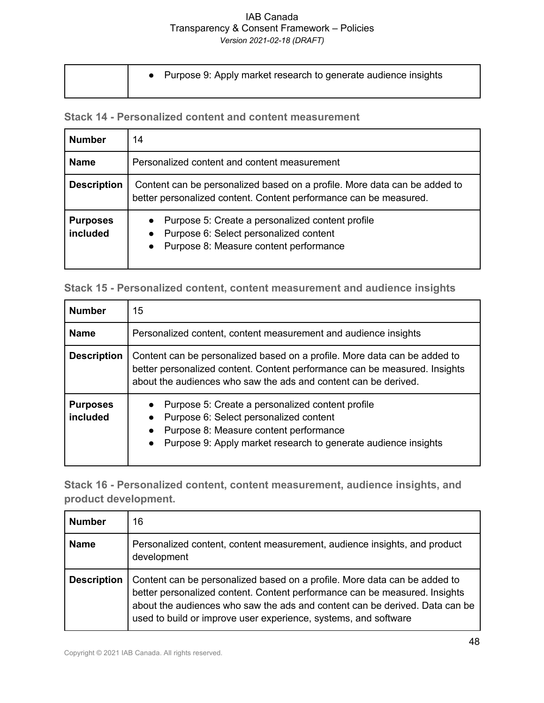● Purpose 9: Apply market research to generate audience insights

**Stack 14 - Personalized content and content measurement**

| <b>Number</b>               | 14                                                                                                                                                                          |  |  |  |  |  |  |  |
|-----------------------------|-----------------------------------------------------------------------------------------------------------------------------------------------------------------------------|--|--|--|--|--|--|--|
| <b>Name</b>                 | Personalized content and content measurement                                                                                                                                |  |  |  |  |  |  |  |
| <b>Description</b>          | Content can be personalized based on a profile. More data can be added to<br>better personalized content. Content performance can be measured.                              |  |  |  |  |  |  |  |
| <b>Purposes</b><br>included | Purpose 5: Create a personalized content profile<br>$\bullet$<br>Purpose 6: Select personalized content<br>$\bullet$<br>Purpose 8: Measure content performance<br>$\bullet$ |  |  |  |  |  |  |  |

|  |  |  |  |  | Stack 15 - Personalized content, content measurement and audience insights |  |  |  |
|--|--|--|--|--|----------------------------------------------------------------------------|--|--|--|
|--|--|--|--|--|----------------------------------------------------------------------------|--|--|--|

| <b>Number</b>               | 15 <sub>1</sub>                                                                                                                                                                                                                               |
|-----------------------------|-----------------------------------------------------------------------------------------------------------------------------------------------------------------------------------------------------------------------------------------------|
| <b>Name</b>                 | Personalized content, content measurement and audience insights                                                                                                                                                                               |
| <b>Description</b>          | Content can be personalized based on a profile. More data can be added to<br>better personalized content. Content performance can be measured. Insights<br>about the audiences who saw the ads and content can be derived.                    |
| <b>Purposes</b><br>included | Purpose 5: Create a personalized content profile<br>Purpose 6: Select personalized content<br>$\bullet$<br>Purpose 8: Measure content performance<br>$\bullet$<br>Purpose 9: Apply market research to generate audience insights<br>$\bullet$ |

**Stack 16 - Personalized content, content measurement, audience insights, and product development.**

| <b>Number</b>      | 16                                                                                                                                                                                                                                                                                                        |
|--------------------|-----------------------------------------------------------------------------------------------------------------------------------------------------------------------------------------------------------------------------------------------------------------------------------------------------------|
| <b>Name</b>        | Personalized content, content measurement, audience insights, and product<br>development                                                                                                                                                                                                                  |
| <b>Description</b> | Content can be personalized based on a profile. More data can be added to<br>better personalized content. Content performance can be measured. Insights<br>about the audiences who saw the ads and content can be derived. Data can be<br>used to build or improve user experience, systems, and software |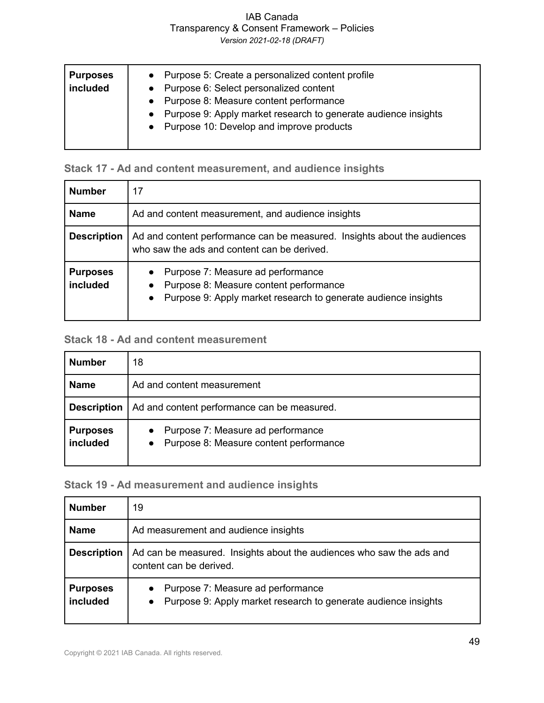### IAB Canada Transparency & Consent Framework – Policies

*Version 2021-02-18 (DRAFT)*

| <b>Purposes</b><br>included | • Purpose 5: Create a personalized content profile<br>• Purpose 6: Select personalized content<br>• Purpose 8: Measure content performance<br>• Purpose 9: Apply market research to generate audience insights<br>• Purpose 10: Develop and improve products |
|-----------------------------|--------------------------------------------------------------------------------------------------------------------------------------------------------------------------------------------------------------------------------------------------------------|
|                             |                                                                                                                                                                                                                                                              |

### **Stack 17 - Ad and content measurement, and audience insights**

| <b>Number</b>               | 17                                                                                                                                              |
|-----------------------------|-------------------------------------------------------------------------------------------------------------------------------------------------|
| <b>Name</b>                 | Ad and content measurement, and audience insights                                                                                               |
| <b>Description</b>          | Ad and content performance can be measured. Insights about the audiences<br>who saw the ads and content can be derived.                         |
| <b>Purposes</b><br>included | Purpose 7: Measure ad performance<br>Purpose 8: Measure content performance<br>• Purpose 9: Apply market research to generate audience insights |

### **Stack 18 - Ad and content measurement**

| <b>Number</b>               | 18                                                                              |
|-----------------------------|---------------------------------------------------------------------------------|
| <b>Name</b>                 | Ad and content measurement                                                      |
| <b>Description</b>          | Ad and content performance can be measured.                                     |
| <b>Purposes</b><br>included | • Purpose 7: Measure ad performance<br>• Purpose 8: Measure content performance |

### **Stack 19 - Ad measurement and audience insights**

| <b>Number</b>               | 19                                                                                                                            |
|-----------------------------|-------------------------------------------------------------------------------------------------------------------------------|
| <b>Name</b>                 | Ad measurement and audience insights                                                                                          |
| <b>Description</b>          | Ad can be measured. Insights about the audiences who saw the ads and<br>content can be derived.                               |
| <b>Purposes</b><br>included | Purpose 7: Measure ad performance<br>$\bullet$<br>Purpose 9: Apply market research to generate audience insights<br>$\bullet$ |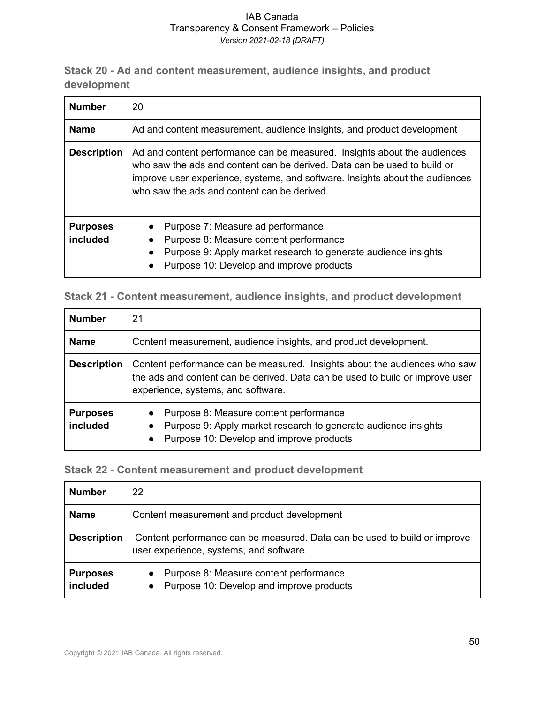**Stack 20 - Ad and content measurement, audience insights, and product development**

| <b>Number</b>               | 20                                                                                                                                                                                                                                                                                  |
|-----------------------------|-------------------------------------------------------------------------------------------------------------------------------------------------------------------------------------------------------------------------------------------------------------------------------------|
| <b>Name</b>                 | Ad and content measurement, audience insights, and product development                                                                                                                                                                                                              |
| <b>Description</b>          | Ad and content performance can be measured. Insights about the audiences<br>who saw the ads and content can be derived. Data can be used to build or<br>improve user experience, systems, and software. Insights about the audiences<br>who saw the ads and content can be derived. |
| <b>Purposes</b><br>included | Purpose 7: Measure ad performance<br>Purpose 8: Measure content performance<br>$\bullet$<br>Purpose 9: Apply market research to generate audience insights<br>Purpose 10: Develop and improve products<br>$\bullet$                                                                 |

**Stack 21 - Content measurement, audience insights, and product development**

| <b>Number</b>               | 21                                                                                                                                                                                               |
|-----------------------------|--------------------------------------------------------------------------------------------------------------------------------------------------------------------------------------------------|
| <b>Name</b>                 | Content measurement, audience insights, and product development.                                                                                                                                 |
| <b>Description</b>          | Content performance can be measured. Insights about the audiences who saw<br>the ads and content can be derived. Data can be used to build or improve user<br>experience, systems, and software. |
| <b>Purposes</b><br>included | Purpose 8: Measure content performance<br>Purpose 9: Apply market research to generate audience insights<br>$\bullet$<br>Purpose 10: Develop and improve products<br>$\bullet$                   |

#### **Stack 22 - Content measurement and product development**

| <b>Number</b>               | 22                                                                                                                   |
|-----------------------------|----------------------------------------------------------------------------------------------------------------------|
| <b>Name</b>                 | Content measurement and product development                                                                          |
| <b>Description</b>          | Content performance can be measured. Data can be used to build or improve<br>user experience, systems, and software. |
| <b>Purposes</b><br>included | • Purpose 8: Measure content performance<br>• Purpose 10: Develop and improve products                               |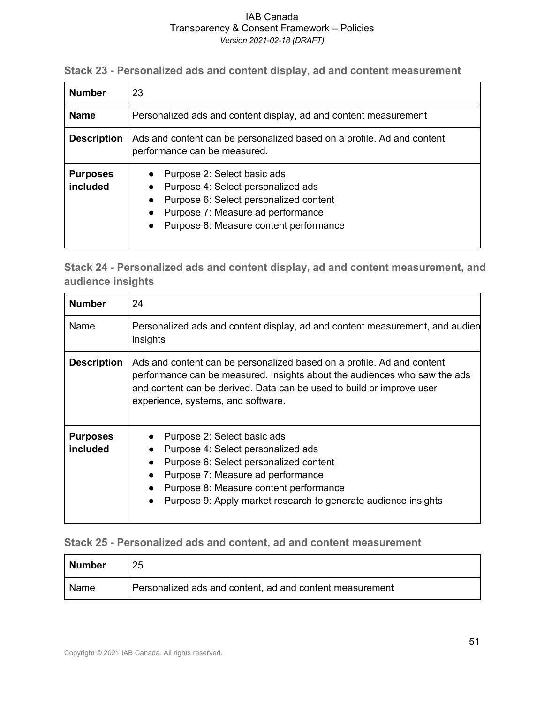**Stack 23 - Personalized ads and content display, ad and content measurement**

| <b>Number</b>               | 23                                                                                                                                                                                         |
|-----------------------------|--------------------------------------------------------------------------------------------------------------------------------------------------------------------------------------------|
| <b>Name</b>                 | Personalized ads and content display, ad and content measurement                                                                                                                           |
| <b>Description</b>          | Ads and content can be personalized based on a profile. Ad and content<br>performance can be measured.                                                                                     |
| <b>Purposes</b><br>included | Purpose 2: Select basic ads<br>Purpose 4: Select personalized ads<br>Purpose 6: Select personalized content<br>Purpose 7: Measure ad performance<br>Purpose 8: Measure content performance |

**Stack 24 - Personalized ads and content display, ad and content measurement, and audience insights**

| <b>Number</b>               | 24                                                                                                                                                                                                                                                                 |
|-----------------------------|--------------------------------------------------------------------------------------------------------------------------------------------------------------------------------------------------------------------------------------------------------------------|
| Name                        | Personalized ads and content display, ad and content measurement, and audien<br>insights                                                                                                                                                                           |
| <b>Description</b>          | Ads and content can be personalized based on a profile. Ad and content<br>performance can be measured. Insights about the audiences who saw the ads<br>and content can be derived. Data can be used to build or improve user<br>experience, systems, and software. |
| <b>Purposes</b><br>included | Purpose 2: Select basic ads<br>Purpose 4: Select personalized ads<br>Purpose 6: Select personalized content<br>Purpose 7: Measure ad performance<br>Purpose 8: Measure content performance<br>Purpose 9: Apply market research to generate audience insights       |

#### **Stack 25 - Personalized ads and content, ad and content measurement**

| Number | 25                                                       |
|--------|----------------------------------------------------------|
| Name   | Personalized ads and content, ad and content measurement |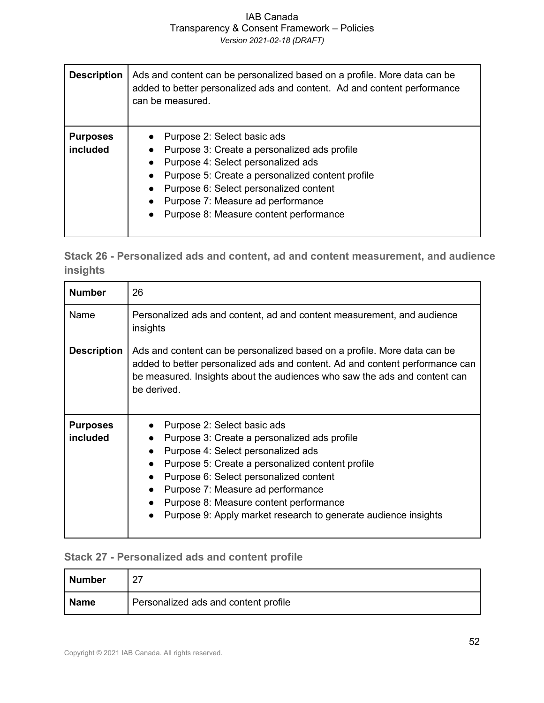| <b>Description</b>          | Ads and content can be personalized based on a profile. More data can be<br>added to better personalized ads and content. Ad and content performance<br>can be measured.                                                                                                                       |
|-----------------------------|------------------------------------------------------------------------------------------------------------------------------------------------------------------------------------------------------------------------------------------------------------------------------------------------|
| <b>Purposes</b><br>included | Purpose 2: Select basic ads<br>Purpose 3: Create a personalized ads profile<br>Purpose 4: Select personalized ads<br>Purpose 5: Create a personalized content profile<br>Purpose 6: Select personalized content<br>Purpose 7: Measure ad performance<br>Purpose 8: Measure content performance |

**Stack 26 - Personalized ads and content, ad and content measurement, and audience insights**

| <b>Number</b>                      | 26                                                                                                                                                                                                                                                                                                                                                                            |
|------------------------------------|-------------------------------------------------------------------------------------------------------------------------------------------------------------------------------------------------------------------------------------------------------------------------------------------------------------------------------------------------------------------------------|
| Name                               | Personalized ads and content, ad and content measurement, and audience<br>insights                                                                                                                                                                                                                                                                                            |
| <b>Description</b>                 | Ads and content can be personalized based on a profile. More data can be<br>added to better personalized ads and content. Ad and content performance can<br>be measured. Insights about the audiences who saw the ads and content can<br>be derived.                                                                                                                          |
| <b>Purposes</b><br><i>included</i> | Purpose 2: Select basic ads<br>Purpose 3: Create a personalized ads profile<br>$\bullet$<br>Purpose 4: Select personalized ads<br>Purpose 5: Create a personalized content profile<br>Purpose 6: Select personalized content<br>Purpose 7: Measure ad performance<br>Purpose 8: Measure content performance<br>Purpose 9: Apply market research to generate audience insights |

### **Stack 27 - Personalized ads and content profile**

| <b>Number</b> |                                      |
|---------------|--------------------------------------|
| <b>Name</b>   | Personalized ads and content profile |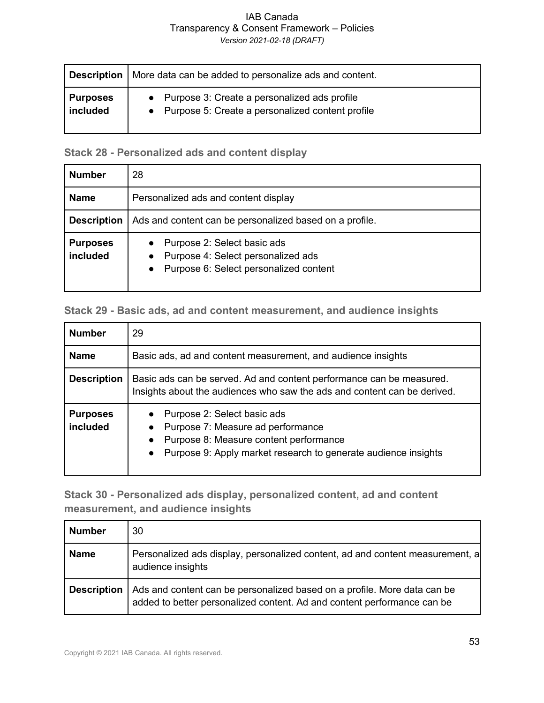### IAB Canada Transparency & Consent Framework – Policies

*Version 2021-02-18 (DRAFT)*

|                 | <b>Description</b>   More data can be added to personalize ads and content. |
|-----------------|-----------------------------------------------------------------------------|
| <b>Purposes</b> | • Purpose 3: Create a personalized ads profile                              |
| included        | • Purpose 5: Create a personalized content profile                          |

### **Stack 28 - Personalized ads and content display**

| <b>Number</b>               | 28                                                                                                                                                 |
|-----------------------------|----------------------------------------------------------------------------------------------------------------------------------------------------|
| <b>Name</b>                 | Personalized ads and content display                                                                                                               |
| <b>Description</b>          | Ads and content can be personalized based on a profile.                                                                                            |
| <b>Purposes</b><br>included | Purpose 2: Select basic ads<br>$\bullet$<br>Purpose 4: Select personalized ads<br>$\bullet$<br>Purpose 6: Select personalized content<br>$\bullet$ |

#### **Stack 29 - Basic ads, ad and content measurement, and audience insights**

| <b>Number</b>               | 29                                                                                                                                                                                                                  |
|-----------------------------|---------------------------------------------------------------------------------------------------------------------------------------------------------------------------------------------------------------------|
| <b>Name</b>                 | Basic ads, ad and content measurement, and audience insights                                                                                                                                                        |
| <b>Description</b>          | Basic ads can be served. Ad and content performance can be measured.<br>Insights about the audiences who saw the ads and content can be derived.                                                                    |
| <b>Purposes</b><br>included | Purpose 2: Select basic ads<br>Purpose 7: Measure ad performance<br>$\bullet$<br>Purpose 8: Measure content performance<br>$\bullet$<br>Purpose 9: Apply market research to generate audience insights<br>$\bullet$ |

**Stack 30 - Personalized ads display, personalized content, ad and content measurement, and audience insights**

| Number             | 30                                                                                                                                                  |
|--------------------|-----------------------------------------------------------------------------------------------------------------------------------------------------|
| Name               | Personalized ads display, personalized content, ad and content measurement, a<br>audience insights                                                  |
| <b>Description</b> | Ads and content can be personalized based on a profile. More data can be<br>added to better personalized content. Ad and content performance can be |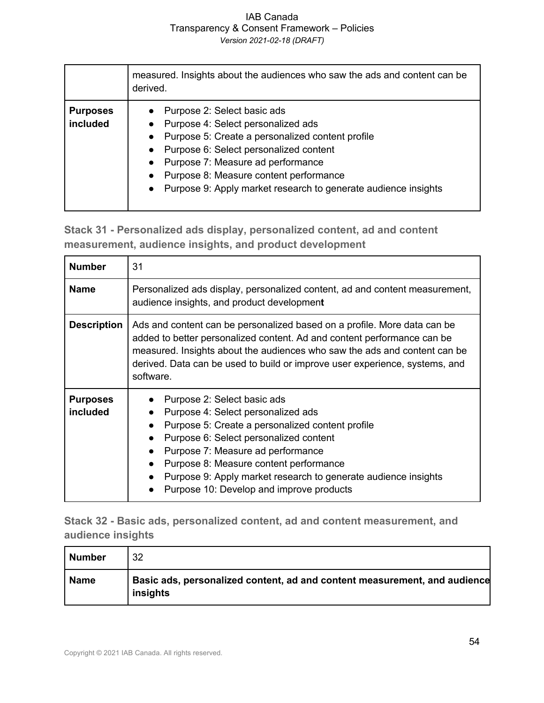|                             | measured. Insights about the audiences who saw the ads and content can be<br>derived.                                                                                                                                                                                                                                                                                             |
|-----------------------------|-----------------------------------------------------------------------------------------------------------------------------------------------------------------------------------------------------------------------------------------------------------------------------------------------------------------------------------------------------------------------------------|
| <b>Purposes</b><br>included | Purpose 2: Select basic ads<br>Purpose 4: Select personalized ads<br>Purpose 5: Create a personalized content profile<br>$\bullet$<br>Purpose 6: Select personalized content<br>$\bullet$<br>Purpose 7: Measure ad performance<br>$\bullet$<br>Purpose 8: Measure content performance<br>$\bullet$<br>Purpose 9: Apply market research to generate audience insights<br>$\bullet$ |

**Stack 31 - Personalized ads display, personalized content, ad and content measurement, audience insights, and product development**

| <b>Number</b>               | 31                                                                                                                                                                                                                                                                                                                                                           |
|-----------------------------|--------------------------------------------------------------------------------------------------------------------------------------------------------------------------------------------------------------------------------------------------------------------------------------------------------------------------------------------------------------|
| <b>Name</b>                 | Personalized ads display, personalized content, ad and content measurement,<br>audience insights, and product development                                                                                                                                                                                                                                    |
| <b>Description</b>          | Ads and content can be personalized based on a profile. More data can be<br>added to better personalized content. Ad and content performance can be<br>measured. Insights about the audiences who saw the ads and content can be<br>derived. Data can be used to build or improve user experience, systems, and<br>software.                                 |
| <b>Purposes</b><br>included | Purpose 2: Select basic ads<br>Purpose 4: Select personalized ads<br>Purpose 5: Create a personalized content profile<br>Purpose 6: Select personalized content<br>Purpose 7: Measure ad performance<br>Purpose 8: Measure content performance<br>Purpose 9: Apply market research to generate audience insights<br>Purpose 10: Develop and improve products |

**Stack 32 - Basic ads, personalized content, ad and content measurement, and audience insights**

| Number      | 32                                                                                    |
|-------------|---------------------------------------------------------------------------------------|
| <b>Name</b> | Basic ads, personalized content, ad and content measurement, and audience<br>insights |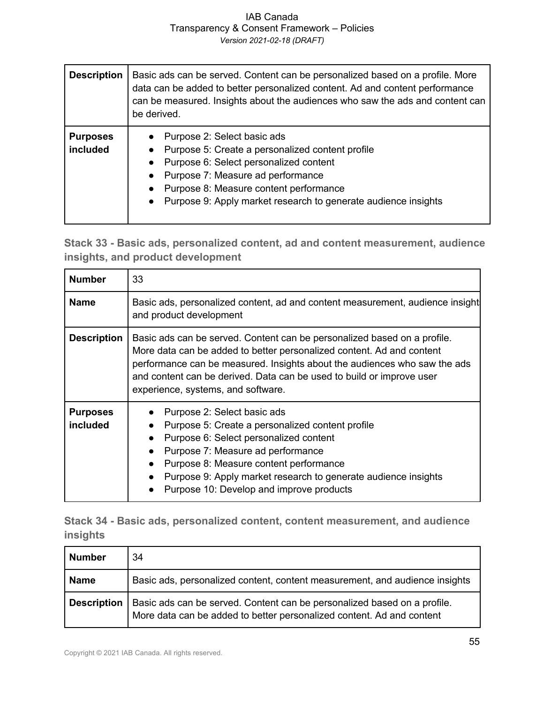| <b>Description</b>          | Basic ads can be served. Content can be personalized based on a profile. More<br>data can be added to better personalized content. Ad and content performance<br>can be measured. Insights about the audiences who saw the ads and content can<br>be derived.              |
|-----------------------------|----------------------------------------------------------------------------------------------------------------------------------------------------------------------------------------------------------------------------------------------------------------------------|
| <b>Purposes</b><br>included | Purpose 2: Select basic ads<br>Purpose 5: Create a personalized content profile<br>Purpose 6: Select personalized content<br>Purpose 7: Measure ad performance<br>Purpose 8: Measure content performance<br>Purpose 9: Apply market research to generate audience insights |

**Stack 33 - Basic ads, personalized content, ad and content measurement, audience insights, and product development**

| <b>Number</b>                      | 33                                                                                                                                                                                                                                                                                                                                                                                      |
|------------------------------------|-----------------------------------------------------------------------------------------------------------------------------------------------------------------------------------------------------------------------------------------------------------------------------------------------------------------------------------------------------------------------------------------|
| <b>Name</b>                        | Basic ads, personalized content, ad and content measurement, audience insight<br>and product development                                                                                                                                                                                                                                                                                |
| <b>Description</b>                 | Basic ads can be served. Content can be personalized based on a profile.<br>More data can be added to better personalized content. Ad and content<br>performance can be measured. Insights about the audiences who saw the ads<br>and content can be derived. Data can be used to build or improve user<br>experience, systems, and software.                                           |
| <b>Purposes</b><br><i>included</i> | Purpose 2: Select basic ads<br>Purpose 5: Create a personalized content profile<br>$\bullet$<br>Purpose 6: Select personalized content<br>$\bullet$<br>Purpose 7: Measure ad performance<br>$\bullet$<br>Purpose 8: Measure content performance<br>$\bullet$<br>Purpose 9: Apply market research to generate audience insights<br>$\bullet$<br>Purpose 10: Develop and improve products |

**Stack 34 - Basic ads, personalized content, content measurement, and audience insights**

| <b>Number</b>      | 34                                                                                                                                                |
|--------------------|---------------------------------------------------------------------------------------------------------------------------------------------------|
| <b>Name</b>        | Basic ads, personalized content, content measurement, and audience insights                                                                       |
| <b>Description</b> | Basic ads can be served. Content can be personalized based on a profile.<br>More data can be added to better personalized content. Ad and content |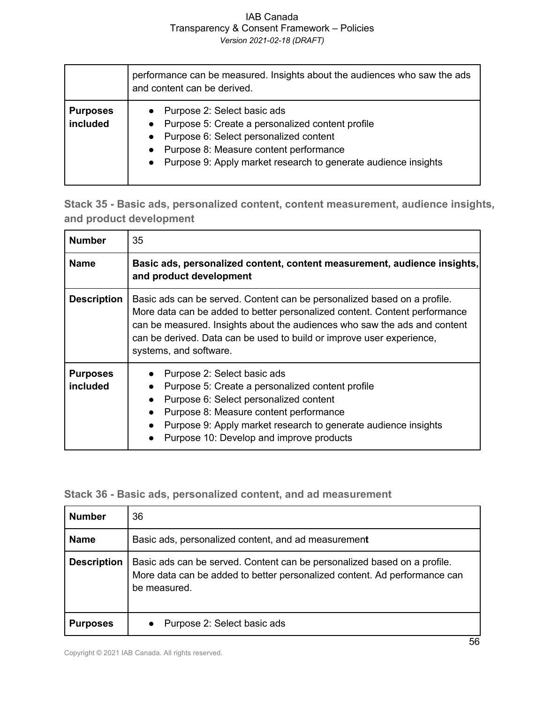|                             | performance can be measured. Insights about the audiences who saw the ads<br>and content can be derived.                                                                                                                                                   |
|-----------------------------|------------------------------------------------------------------------------------------------------------------------------------------------------------------------------------------------------------------------------------------------------------|
| <b>Purposes</b><br>included | • Purpose 2: Select basic ads<br>• Purpose 5: Create a personalized content profile<br>• Purpose 6: Select personalized content<br>Purpose 8: Measure content performance<br>$\bullet$<br>• Purpose 9: Apply market research to generate audience insights |

**Stack 35 - Basic ads, personalized content, content measurement, audience insights, and product development** 

| <b>Number</b>               | 35                                                                                                                                                                                                                                                                                                                                     |
|-----------------------------|----------------------------------------------------------------------------------------------------------------------------------------------------------------------------------------------------------------------------------------------------------------------------------------------------------------------------------------|
| <b>Name</b>                 | Basic ads, personalized content, content measurement, audience insights,<br>and product development                                                                                                                                                                                                                                    |
| <b>Description</b>          | Basic ads can be served. Content can be personalized based on a profile.<br>More data can be added to better personalized content. Content performance<br>can be measured. Insights about the audiences who saw the ads and content<br>can be derived. Data can be used to build or improve user experience,<br>systems, and software. |
| <b>Purposes</b><br>included | Purpose 2: Select basic ads<br>Purpose 5: Create a personalized content profile<br>Purpose 6: Select personalized content<br>$\bullet$<br>Purpose 8: Measure content performance<br>Purpose 9: Apply market research to generate audience insights<br>Purpose 10: Develop and improve products                                         |

### **Stack 36 - Basic ads, personalized content, and ad measurement**

| <b>Number</b>      | 36                                                                                                                                                                    |
|--------------------|-----------------------------------------------------------------------------------------------------------------------------------------------------------------------|
| <b>Name</b>        | Basic ads, personalized content, and ad measurement                                                                                                                   |
| <b>Description</b> | Basic ads can be served. Content can be personalized based on a profile.<br>More data can be added to better personalized content. Ad performance can<br>be measured. |
| <b>Purposes</b>    | Purpose 2: Select basic ads                                                                                                                                           |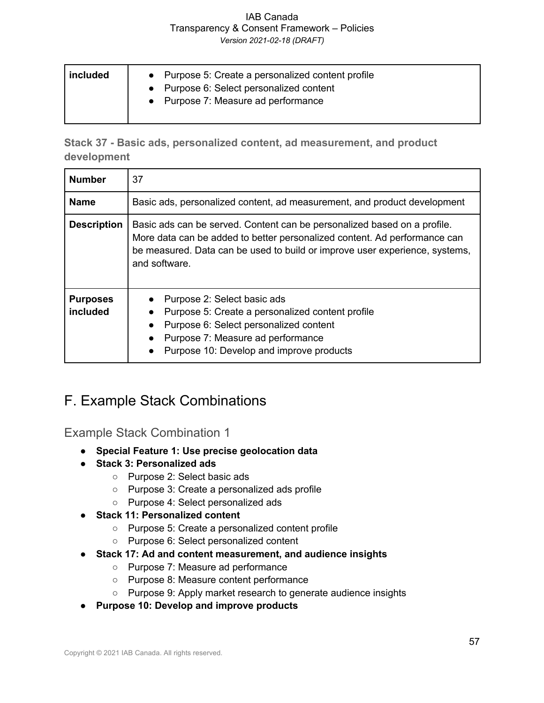| included | • Purpose 5: Create a personalized content profile<br>• Purpose 6: Select personalized content<br>• Purpose 7: Measure ad performance |
|----------|---------------------------------------------------------------------------------------------------------------------------------------|
|----------|---------------------------------------------------------------------------------------------------------------------------------------|

**Stack 37 - Basic ads, personalized content, ad measurement, and product development**

| <b>Number</b>               | 37                                                                                                                                                                                                                                                    |
|-----------------------------|-------------------------------------------------------------------------------------------------------------------------------------------------------------------------------------------------------------------------------------------------------|
| <b>Name</b>                 | Basic ads, personalized content, ad measurement, and product development                                                                                                                                                                              |
| <b>Description</b>          | Basic ads can be served. Content can be personalized based on a profile.<br>More data can be added to better personalized content. Ad performance can<br>be measured. Data can be used to build or improve user experience, systems,<br>and software. |
| <b>Purposes</b><br>included | Purpose 2: Select basic ads<br>Purpose 5: Create a personalized content profile<br>Purpose 6: Select personalized content<br>$\bullet$<br>Purpose 7: Measure ad performance<br>Purpose 10: Develop and improve products<br>$\bullet$                  |

## F. Example Stack Combinations

Example Stack Combination 1

- **Special Feature 1: Use precise geolocation data**
- **Stack 3: Personalized ads**
	- Purpose 2: Select basic ads
	- Purpose 3: Create a personalized ads profile
	- Purpose 4: Select personalized ads
- **Stack 11: Personalized content**
	- Purpose 5: Create a personalized content profile
	- Purpose 6: Select personalized content
- **Stack 17: Ad and content measurement, and audience insights**
	- Purpose 7: Measure ad performance
	- Purpose 8: Measure content performance
	- Purpose 9: Apply market research to generate audience insights
- **Purpose 10: Develop and improve products**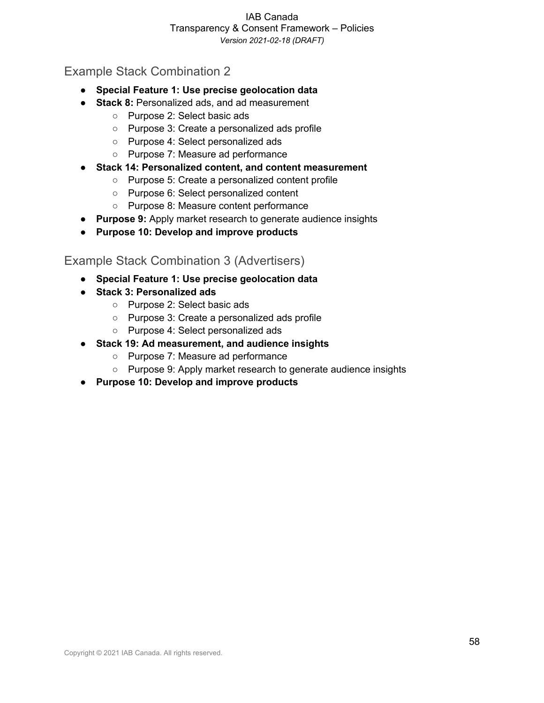### Example Stack Combination 2

- **Special Feature 1: Use precise geolocation data**
- **Stack 8:** Personalized ads, and ad measurement
	- Purpose 2: Select basic ads
	- Purpose 3: Create a personalized ads profile
	- Purpose 4: Select personalized ads
	- Purpose 7: Measure ad performance
- **Stack 14: Personalized content, and content measurement**
	- Purpose 5: Create a personalized content profile
	- Purpose 6: Select personalized content
	- Purpose 8: Measure content performance
- **Purpose 9:** Apply market research to generate audience insights
- **Purpose 10: Develop and improve products**

### Example Stack Combination 3 (Advertisers)

- **Special Feature 1: Use precise geolocation data**
- **Stack 3: Personalized ads**
	- Purpose 2: Select basic ads
	- Purpose 3: Create a personalized ads profile
	- Purpose 4: Select personalized ads
- **Stack 19: Ad measurement, and audience insights**
	- Purpose 7: Measure ad performance
	- Purpose 9: Apply market research to generate audience insights
- **Purpose 10: Develop and improve products**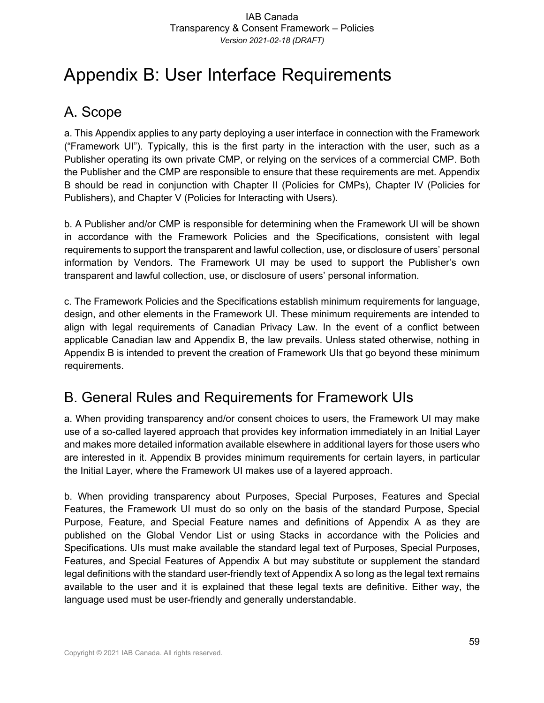# Appendix B: User Interface Requirements

# A. Scope

a. This Appendix applies to any party deploying a user interface in connection with the Framework ("Framework UI"). Typically, this is the first party in the interaction with the user, such as a Publisher operating its own private CMP, or relying on the services of a commercial CMP. Both the Publisher and the CMP are responsible to ensure that these requirements are met. Appendix B should be read in conjunction with Chapter II (Policies for CMPs), Chapter IV (Policies for Publishers), and Chapter V (Policies for Interacting with Users).

b. A Publisher and/or CMP is responsible for determining when the Framework UI will be shown in accordance with the Framework Policies and the Specifications, consistent with legal requirements to support the transparent and lawful collection, use, or disclosure of users' personal information by Vendors. The Framework UI may be used to support the Publisher's own transparent and lawful collection, use, or disclosure of users' personal information.

c. The Framework Policies and the Specifications establish minimum requirements for language, design, and other elements in the Framework UI. These minimum requirements are intended to align with legal requirements of Canadian Privacy Law. In the event of a conflict between applicable Canadian law and Appendix B, the law prevails. Unless stated otherwise, nothing in Appendix B is intended to prevent the creation of Framework UIs that go beyond these minimum requirements.

# B. General Rules and Requirements for Framework UIs

a. When providing transparency and/or consent choices to users, the Framework UI may make use of a so-called layered approach that provides key information immediately in an Initial Layer and makes more detailed information available elsewhere in additional layers for those users who are interested in it. Appendix B provides minimum requirements for certain layers, in particular the Initial Layer, where the Framework UI makes use of a layered approach.

b. When providing transparency about Purposes, Special Purposes, Features and Special Features, the Framework UI must do so only on the basis of the standard Purpose, Special Purpose, Feature, and Special Feature names and definitions of Appendix A as they are published on the Global Vendor List or using Stacks in accordance with the Policies and Specifications. UIs must make available the standard legal text of Purposes, Special Purposes, Features, and Special Features of Appendix A but may substitute or supplement the standard legal definitions with the standard user-friendly text of Appendix A so long as the legal text remains available to the user and it is explained that these legal texts are definitive. Either way, the language used must be user-friendly and generally understandable.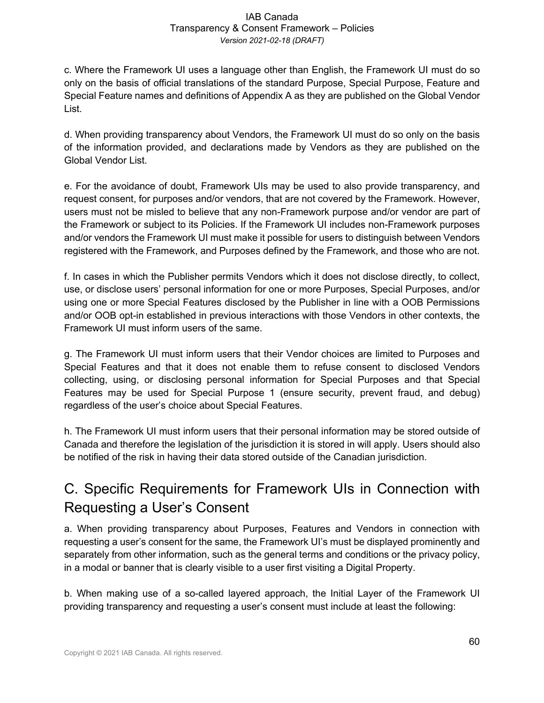c. Where the Framework UI uses a language other than English, the Framework UI must do so only on the basis of official translations of the standard Purpose, Special Purpose, Feature and Special Feature names and definitions of Appendix A as they are published on the Global Vendor List.

d. When providing transparency about Vendors, the Framework UI must do so only on the basis of the information provided, and declarations made by Vendors as they are published on the Global Vendor List.

e. For the avoidance of doubt, Framework UIs may be used to also provide transparency, and request consent, for purposes and/or vendors, that are not covered by the Framework. However, users must not be misled to believe that any non-Framework purpose and/or vendor are part of the Framework or subject to its Policies. If the Framework UI includes non-Framework purposes and/or vendors the Framework UI must make it possible for users to distinguish between Vendors registered with the Framework, and Purposes defined by the Framework, and those who are not.

f. In cases in which the Publisher permits Vendors which it does not disclose directly, to collect, use, or disclose users' personal information for one or more Purposes, Special Purposes, and/or using one or more Special Features disclosed by the Publisher in line with a OOB Permissions and/or OOB opt-in established in previous interactions with those Vendors in other contexts, the Framework UI must inform users of the same.

g. The Framework UI must inform users that their Vendor choices are limited to Purposes and Special Features and that it does not enable them to refuse consent to disclosed Vendors collecting, using, or disclosing personal information for Special Purposes and that Special Features may be used for Special Purpose 1 (ensure security, prevent fraud, and debug) regardless of the user's choice about Special Features.

h. The Framework UI must inform users that their personal information may be stored outside of Canada and therefore the legislation of the jurisdiction it is stored in will apply. Users should also be notified of the risk in having their data stored outside of the Canadian jurisdiction.

# C. Specific Requirements for Framework UIs in Connection with Requesting a User's Consent

a. When providing transparency about Purposes, Features and Vendors in connection with requesting a user's consent for the same, the Framework UI's must be displayed prominently and separately from other information, such as the general terms and conditions or the privacy policy, in a modal or banner that is clearly visible to a user first visiting a Digital Property.

b. When making use of a so-called layered approach, the Initial Layer of the Framework UI providing transparency and requesting a user's consent must include at least the following: